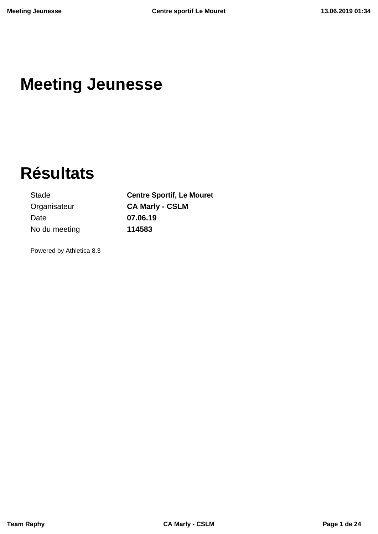# **Meeting Jeunesse**

# **Résultats**

Organisateur **CA Marly - CSLM** Date **07.06.19** No du meeting **114583**

Stade **Centre Sportif, Le Mouret**

Powered by Athletica 8.3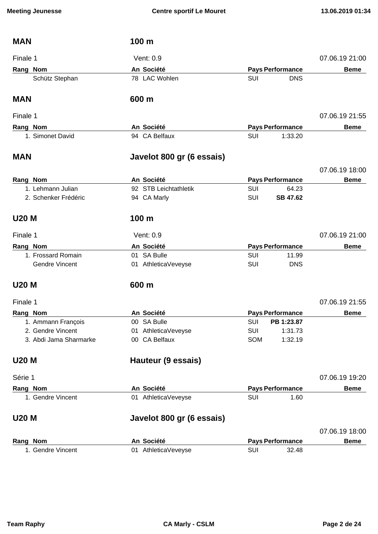| <b>MAN</b>             | 100 m                     |     |                         |                |
|------------------------|---------------------------|-----|-------------------------|----------------|
| Finale 1               | Vent: 0.9                 |     |                         | 07.06.19 21:00 |
| Rang Nom               | An Société                |     | <b>Pays Performance</b> | <b>Beme</b>    |
| Schütz Stephan         | 78 LAC Wohlen             | SUI | <b>DNS</b>              |                |
| <b>MAN</b>             | 600 m                     |     |                         |                |
| Finale 1               |                           |     |                         | 07.06.19 21:55 |
| Rang Nom               | An Société                |     | <b>Pays Performance</b> | <b>Beme</b>    |
| 1. Simonet David       | 94 CA Belfaux             | SUI | 1:33.20                 |                |
| <b>MAN</b>             | Javelot 800 gr (6 essais) |     |                         |                |
|                        |                           |     |                         | 07.06.19 18:00 |
| Rang Nom               | An Société                |     | <b>Pays Performance</b> | <b>Beme</b>    |
| 1. Lehmann Julian      | 92 STB Leichtathletik     | SUI | 64.23                   |                |
| 2. Schenker Frédéric   | 94 CA Marly               | SUI | SB 47.62                |                |
| <b>U20 M</b>           | 100 <sub>m</sub>          |     |                         |                |
| Finale 1               | Vent: 0.9                 |     |                         | 07.06.19 21:00 |
| Rang Nom               | An Société                |     | <b>Pays Performance</b> | <b>Beme</b>    |
| 1. Frossard Romain     | 01 SA Bulle               | SUI | 11.99                   |                |
| <b>Gendre Vincent</b>  | 01 AthleticaVeveyse       | SUI | <b>DNS</b>              |                |
| <b>U20 M</b>           | 600 m                     |     |                         |                |
| Finale 1               |                           |     |                         | 07.06.19 21:55 |
| <b>Rang Nom</b>        | An Société                |     | <b>Pays Performance</b> | <b>Beme</b>    |
| 1. Ammann François     | 00 SA Bulle               | SUI | PB 1:23.87              |                |
| 2. Gendre Vincent      | 01 AthleticaVeveyse       | SUI | 1:31.73                 |                |
| 3. Abdi Jama Sharmarke | 00 CA Belfaux             | SOM | 1:32.19                 |                |
| <b>U20 M</b>           | Hauteur (9 essais)        |     |                         |                |
| Série 1                |                           |     |                         | 07.06.19 19:20 |
| Rang Nom               | An Société                |     | <b>Pays Performance</b> | <b>Beme</b>    |
| 1. Gendre Vincent      | 01 AthleticaVeveyse       | SUI | 1.60                    |                |
| <b>U20 M</b>           | Javelot 800 gr (6 essais) |     |                         |                |
|                        |                           |     |                         | 07.06.19 18:00 |
| Rang Nom               | An Société                |     | <b>Pays Performance</b> | <b>Beme</b>    |
| 1. Gendre Vincent      | 01 AthleticaVeveyse       | SUI | 32.48                   |                |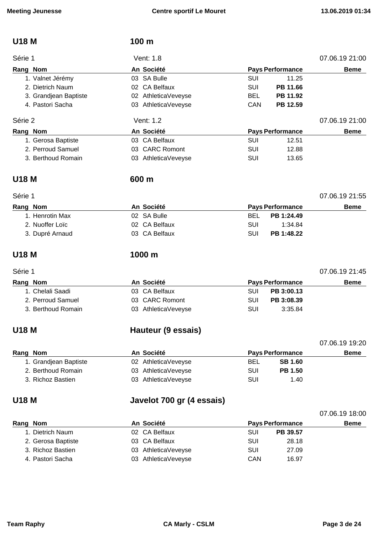### **U18 M 100 m**

| Série 1               | Vent: 1.8           |            |                         | 07.06.19 21:00 |
|-----------------------|---------------------|------------|-------------------------|----------------|
| Rang Nom              | An Société          |            | <b>Pays Performance</b> | <b>Beme</b>    |
| 1. Valnet Jérémy      | 03 SA Bulle         | SUI        | 11.25                   |                |
| 2. Dietrich Naum      | 02 CA Belfaux       | SUI        | PB 11.66                |                |
| 3. Grandjean Baptiste | 02 AthleticaVeveyse | <b>BEL</b> | PB 11.92                |                |
| 4. Pastori Sacha      | 03 AthleticaVeveyse | CAN        | PB 12.59                |                |
| Série 2               | Vent: 1.2           |            |                         | 07.06.19 21:00 |
| Rang Nom              | An Société          |            | <b>Pays Performance</b> | <b>Beme</b>    |
| 1. Gerosa Baptiste    | 03 CA Belfaux       | SUI        | 12.51                   |                |
| 2. Perroud Samuel     | 03 CARC Romont      | SUI        | 12.88                   |                |
|                       |                     |            |                         |                |

3. Berthoud Romain **03** AthleticaVeveyse **SUI** 13.65

### **U18 M 600 m**

### **Rang** Nom **Beme An Société Pays** Performance **Beme** 1. Henrotin Max 02 SA Bulle BEL **PB 1:24.49** 2. Nuoffer Loïc **2. Internal COVID-2.** O2 CA Belfaux **COVID-2. SUI** 1:34.84 3. Dupré Arnaud 03 CA Belfaux SUI **PB 1:48.22**

Série 1 07.06.19 21:55

**U18 M 1000 m**

### Série 1 07.06.19 21:45

| Rang Nom           | An Société          |     | <b>Pays Performance</b> | <b>Beme</b> |  |
|--------------------|---------------------|-----|-------------------------|-------------|--|
| 1. Chelali Saadi   | 03 CA Belfaux       | SUI | PB 3:00.13              |             |  |
| 2. Perroud Samuel  | 03 CARC Romont      | SUI | PB 3:08.39              |             |  |
| 3. Berthoud Romain | 03 AthleticaVeveyse | SUI | 3:35.84                 |             |  |

### **U18 M Hauteur (9 essais)**

|                       |                     |            |                         | 07.06.19 19:20 |
|-----------------------|---------------------|------------|-------------------------|----------------|
| Rang Nom              | An Société          |            | <b>Pays Performance</b> | <b>Beme</b>    |
| 1. Grandjean Baptiste | 02 AthleticaVeveyse | <b>BEL</b> | <b>SB 1.60</b>          |                |
| 2. Berthoud Romain    | 03 AthleticaVeveyse | SUI        | <b>PB 1.50</b>          |                |
| 3. Richoz Bastien     | 03 AthleticaVeveyse | SUI        | 1.40                    |                |

### **U18 M Javelot 700 gr (4 essais)**

| Rang Nom           | An Société          |     | <b>Pays Performance</b> | <b>Beme</b> |
|--------------------|---------------------|-----|-------------------------|-------------|
| 1. Dietrich Naum   | 02 CA Belfaux       | SUI | PB 39.57                |             |
| 2. Gerosa Baptiste | 03 CA Belfaux       | SUI | 28.18                   |             |
| 3. Richoz Bastien  | 03 AthleticaVeveyse | SUI | 27.09                   |             |
| 4. Pastori Sacha   | 03 AthleticaVeveyse | CAN | 16.97                   |             |

07.06.19 18:00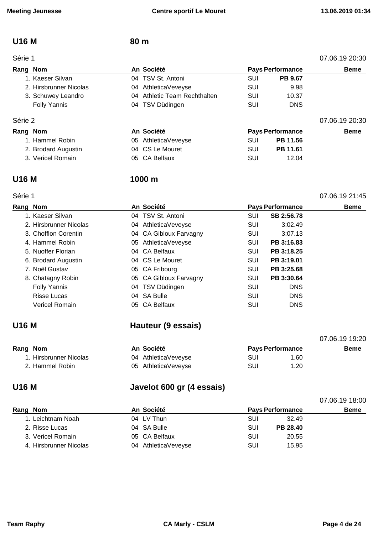### **U16 M 80 m**

| Série 1 | 07.06.19 20:30 |
|---------|----------------|
|---------|----------------|

| Rang Nom               | An Société                   |     | <b>Pays Performance</b> | <b>Beme</b> |
|------------------------|------------------------------|-----|-------------------------|-------------|
| 1. Kaeser Silvan       | 04 TSV St. Antoni            | SUI | <b>PB 9.67</b>          |             |
| 2. Hirsbrunner Nicolas | 04 AthleticaVeveyse          | SUI | 9.98                    |             |
| 3. Schuwey Leandro     | 04 Athletic Team Rechthalten | SUI | 10.37                   |             |
| <b>Folly Yannis</b>    | 04 TSV Düdingen              | SUI | <b>DNS</b>              |             |
|                        |                              |     |                         |             |

### Série 2 07.06.19 20:30

| Rang Nom            | An Société          | <b>Pays Performance</b> | <b>Beme</b> |
|---------------------|---------------------|-------------------------|-------------|
| 1. Hammel Robin     | 05 AthleticaVeveyse | PB 11.56<br>SUI         |             |
| 2. Brodard Augustin | 04 CS Le Mouret     | SUI<br><b>PB 11.61</b>  |             |
| 3. Vericel Romain   | 05 CA Belfaux       | SUI<br>12.04            |             |

Série 1 07.06.19 21:45

### **U16 M 1000 m**

| Rang Nom               | An Société             |            | <b>Pays Performance</b> | <b>Beme</b> |
|------------------------|------------------------|------------|-------------------------|-------------|
| 1. Kaeser Silvan       | 04 TSV St. Antoni      | SUI        | SB 2:56.78              |             |
| 2. Hirsbrunner Nicolas | 04 AthleticaVeveyse    | <b>SUI</b> | 3:02.49                 |             |
| 3. Chofflon Corentin   | 04 CA Gibloux Farvagny | <b>SUI</b> | 3:07.13                 |             |
| 4. Hammel Robin        | 05 AthleticaVeveyse    | SUI        | PB 3:16.83              |             |
| 5. Nuoffer Florian     | 04 CA Belfaux          | SUI        | PB 3:18.25              |             |
| 6. Brodard Augustin    | 04 CS Le Mouret        | <b>SUI</b> | PB 3:19.01              |             |
| 7. Noël Gustav         | 05 CA Fribourg         | <b>SUI</b> | PB 3:25.68              |             |
| 8. Chatagny Robin      | 05 CA Gibloux Farvagny | <b>SUI</b> | PB 3:30.64              |             |
| <b>Folly Yannis</b>    | 04 TSV Düdingen        | SUI        | <b>DNS</b>              |             |
| Risse Lucas            | 04 SA Bulle            | <b>SUI</b> | <b>DNS</b>              |             |
| Vericel Romain         | 05 CA Belfaux          | SUI        | <b>DNS</b>              |             |
|                        |                        |            |                         |             |

# **U16 M Hauteur (9 essais)**

|                        |                     |                         | 07.06.19 19:20 |
|------------------------|---------------------|-------------------------|----------------|
| Rang Nom               | An Société          | <b>Pays Performance</b> | <b>Beme</b>    |
| 1. Hirsbrunner Nicolas | 04 AthleticaVeveyse | SUI<br>1.60             |                |
| 2. Hammel Robin        | 05 AthleticaVeveyse | SUI<br>1.20             |                |

# **U16 M Javelot 600 gr (4 essais)**

|                        |  |                                                                                 |     |          |                         | <b>Beme</b>    |
|------------------------|--|---------------------------------------------------------------------------------|-----|----------|-------------------------|----------------|
| 1. Leichtnam Noah      |  |                                                                                 | SUI | 32.49    |                         |                |
| 2. Risse Lucas         |  |                                                                                 | SUI | PB 28.40 |                         |                |
| 3. Vericel Romain      |  |                                                                                 | SUI | 20.55    |                         |                |
| 4. Hirsbrunner Nicolas |  |                                                                                 | SUI | 15.95    |                         |                |
|                        |  | An Société<br>04 LV Thun<br>04 SA Bulle<br>05 CA Belfaux<br>04 AthleticaVeveyse |     |          | <b>Pays Performance</b> | 07.06.19 18:00 |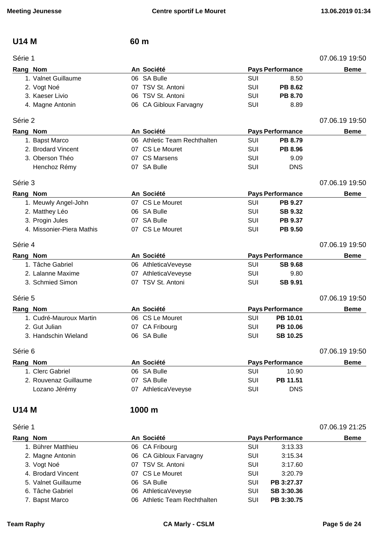### **U14 M 60 m**

| An Société<br><b>Pays Performance</b><br>Rang Nom<br><b>Beme</b><br>06 SA Bulle<br>1. Valnet Guillaume<br>SUI<br>8.50<br>TSV St. Antoni<br>SUI<br>PB 8.62<br>2. Vogt Noé<br>07.<br>06 TSV St. Antoni<br>SUI<br><b>PB 8.70</b><br>3. Kaeser Livio<br>06 CA Gibloux Farvagny<br>SUI<br>8.89<br>4. Magne Antonin<br>Série 2<br>07.06.19 19:50<br>An Société<br>Rang Nom<br><b>Pays Performance</b><br><b>Beme</b><br>06 Athletic Team Rechthalten<br>SUI<br>PB 8.79<br>1. Bapst Marco<br>2. Brodard Vincent<br>07 CS Le Mouret<br>SUI<br>PB 8.96<br>3. Oberson Théo<br>07 CS Marsens<br>SUI<br>9.09<br>07 SA Bulle<br>SUI<br><b>DNS</b><br>Henchoz Rémy<br>Série 3<br>07.06.19 19:50<br>Rang Nom<br>An Société<br><b>Pays Performance</b><br><b>Beme</b><br>07 CS Le Mouret<br>SUI<br>1. Meuwly Angel-John<br><b>PB 9.27</b><br>2. Matthey Léo<br>06 SA Bulle<br>SUI<br><b>SB 9.32</b><br>3. Progin Jules<br>07 SA Bulle<br>SUI<br>PB 9.37<br>4. Missonier-Piera Mathis<br>07 CS Le Mouret<br>SUI<br>PB 9.50<br>07.06.19 19:50<br>Série 4<br>Rang Nom<br>An Société<br><b>Pays Performance</b><br><b>Beme</b><br>1. Tâche Gabriel<br>06 AthleticaVeveyse<br>SUI<br><b>SB 9.68</b><br>2. Lalanne Maxime<br><b>SUI</b><br>07 AthleticaVeveyse<br>9.80<br>07 TSV St. Antoni<br>SUI<br>3. Schmied Simon<br><b>SB 9.91</b><br>07.06.19 19:50<br>Série 5<br>An Société<br><b>Pays Performance</b><br>Rang Nom<br><b>Beme</b><br>1. Cudré-Mauroux Martin<br>06 CS Le Mouret<br>SUI<br>PB 10.01<br>SUI<br>2. Gut Julian<br>CA Fribourg<br>PB 10.06<br>07<br>06 SA Bulle<br>SUI<br><b>SB 10.25</b><br>3. Handschin Wieland<br>07.06.19 19:50<br>Série 6<br>An Société<br>Rang Nom<br><b>Pays Performance</b><br><b>Beme</b><br>06 SA Bulle<br>1. Clerc Gabriel<br>SUI<br>10.90<br>2. Rouvenaz Guillaume<br>07 SA Bulle<br>SUI<br>PB 11.51<br>SUI<br>Lozano Jérémy<br>07 AthleticaVeveyse<br><b>DNS</b><br><b>U14 M</b><br>1000 m<br>07.06.19 21:25<br>Série 1<br>An Société<br>Rang Nom<br><b>Pays Performance</b><br><b>Beme</b><br>1. Bührer Matthieu<br>06 CA Fribourg<br>SUI<br>3:13.33<br>06 CA Gibloux Farvagny<br>SUI<br>2. Magne Antonin<br>3:15.34 | Série 1 |  | 07.06.19 19:50 |
|-------------------------------------------------------------------------------------------------------------------------------------------------------------------------------------------------------------------------------------------------------------------------------------------------------------------------------------------------------------------------------------------------------------------------------------------------------------------------------------------------------------------------------------------------------------------------------------------------------------------------------------------------------------------------------------------------------------------------------------------------------------------------------------------------------------------------------------------------------------------------------------------------------------------------------------------------------------------------------------------------------------------------------------------------------------------------------------------------------------------------------------------------------------------------------------------------------------------------------------------------------------------------------------------------------------------------------------------------------------------------------------------------------------------------------------------------------------------------------------------------------------------------------------------------------------------------------------------------------------------------------------------------------------------------------------------------------------------------------------------------------------------------------------------------------------------------------------------------------------------------------------------------------------------------------------------------------------------------------------------------------------------------------------------------------------------------------------------------------------------------------------------------|---------|--|----------------|
|                                                                                                                                                                                                                                                                                                                                                                                                                                                                                                                                                                                                                                                                                                                                                                                                                                                                                                                                                                                                                                                                                                                                                                                                                                                                                                                                                                                                                                                                                                                                                                                                                                                                                                                                                                                                                                                                                                                                                                                                                                                                                                                                                 |         |  |                |
|                                                                                                                                                                                                                                                                                                                                                                                                                                                                                                                                                                                                                                                                                                                                                                                                                                                                                                                                                                                                                                                                                                                                                                                                                                                                                                                                                                                                                                                                                                                                                                                                                                                                                                                                                                                                                                                                                                                                                                                                                                                                                                                                                 |         |  |                |
|                                                                                                                                                                                                                                                                                                                                                                                                                                                                                                                                                                                                                                                                                                                                                                                                                                                                                                                                                                                                                                                                                                                                                                                                                                                                                                                                                                                                                                                                                                                                                                                                                                                                                                                                                                                                                                                                                                                                                                                                                                                                                                                                                 |         |  |                |
|                                                                                                                                                                                                                                                                                                                                                                                                                                                                                                                                                                                                                                                                                                                                                                                                                                                                                                                                                                                                                                                                                                                                                                                                                                                                                                                                                                                                                                                                                                                                                                                                                                                                                                                                                                                                                                                                                                                                                                                                                                                                                                                                                 |         |  |                |
|                                                                                                                                                                                                                                                                                                                                                                                                                                                                                                                                                                                                                                                                                                                                                                                                                                                                                                                                                                                                                                                                                                                                                                                                                                                                                                                                                                                                                                                                                                                                                                                                                                                                                                                                                                                                                                                                                                                                                                                                                                                                                                                                                 |         |  |                |
|                                                                                                                                                                                                                                                                                                                                                                                                                                                                                                                                                                                                                                                                                                                                                                                                                                                                                                                                                                                                                                                                                                                                                                                                                                                                                                                                                                                                                                                                                                                                                                                                                                                                                                                                                                                                                                                                                                                                                                                                                                                                                                                                                 |         |  |                |
|                                                                                                                                                                                                                                                                                                                                                                                                                                                                                                                                                                                                                                                                                                                                                                                                                                                                                                                                                                                                                                                                                                                                                                                                                                                                                                                                                                                                                                                                                                                                                                                                                                                                                                                                                                                                                                                                                                                                                                                                                                                                                                                                                 |         |  |                |
|                                                                                                                                                                                                                                                                                                                                                                                                                                                                                                                                                                                                                                                                                                                                                                                                                                                                                                                                                                                                                                                                                                                                                                                                                                                                                                                                                                                                                                                                                                                                                                                                                                                                                                                                                                                                                                                                                                                                                                                                                                                                                                                                                 |         |  |                |
|                                                                                                                                                                                                                                                                                                                                                                                                                                                                                                                                                                                                                                                                                                                                                                                                                                                                                                                                                                                                                                                                                                                                                                                                                                                                                                                                                                                                                                                                                                                                                                                                                                                                                                                                                                                                                                                                                                                                                                                                                                                                                                                                                 |         |  |                |
|                                                                                                                                                                                                                                                                                                                                                                                                                                                                                                                                                                                                                                                                                                                                                                                                                                                                                                                                                                                                                                                                                                                                                                                                                                                                                                                                                                                                                                                                                                                                                                                                                                                                                                                                                                                                                                                                                                                                                                                                                                                                                                                                                 |         |  |                |
|                                                                                                                                                                                                                                                                                                                                                                                                                                                                                                                                                                                                                                                                                                                                                                                                                                                                                                                                                                                                                                                                                                                                                                                                                                                                                                                                                                                                                                                                                                                                                                                                                                                                                                                                                                                                                                                                                                                                                                                                                                                                                                                                                 |         |  |                |
|                                                                                                                                                                                                                                                                                                                                                                                                                                                                                                                                                                                                                                                                                                                                                                                                                                                                                                                                                                                                                                                                                                                                                                                                                                                                                                                                                                                                                                                                                                                                                                                                                                                                                                                                                                                                                                                                                                                                                                                                                                                                                                                                                 |         |  |                |
|                                                                                                                                                                                                                                                                                                                                                                                                                                                                                                                                                                                                                                                                                                                                                                                                                                                                                                                                                                                                                                                                                                                                                                                                                                                                                                                                                                                                                                                                                                                                                                                                                                                                                                                                                                                                                                                                                                                                                                                                                                                                                                                                                 |         |  |                |
|                                                                                                                                                                                                                                                                                                                                                                                                                                                                                                                                                                                                                                                                                                                                                                                                                                                                                                                                                                                                                                                                                                                                                                                                                                                                                                                                                                                                                                                                                                                                                                                                                                                                                                                                                                                                                                                                                                                                                                                                                                                                                                                                                 |         |  |                |
|                                                                                                                                                                                                                                                                                                                                                                                                                                                                                                                                                                                                                                                                                                                                                                                                                                                                                                                                                                                                                                                                                                                                                                                                                                                                                                                                                                                                                                                                                                                                                                                                                                                                                                                                                                                                                                                                                                                                                                                                                                                                                                                                                 |         |  |                |
|                                                                                                                                                                                                                                                                                                                                                                                                                                                                                                                                                                                                                                                                                                                                                                                                                                                                                                                                                                                                                                                                                                                                                                                                                                                                                                                                                                                                                                                                                                                                                                                                                                                                                                                                                                                                                                                                                                                                                                                                                                                                                                                                                 |         |  |                |
|                                                                                                                                                                                                                                                                                                                                                                                                                                                                                                                                                                                                                                                                                                                                                                                                                                                                                                                                                                                                                                                                                                                                                                                                                                                                                                                                                                                                                                                                                                                                                                                                                                                                                                                                                                                                                                                                                                                                                                                                                                                                                                                                                 |         |  |                |
|                                                                                                                                                                                                                                                                                                                                                                                                                                                                                                                                                                                                                                                                                                                                                                                                                                                                                                                                                                                                                                                                                                                                                                                                                                                                                                                                                                                                                                                                                                                                                                                                                                                                                                                                                                                                                                                                                                                                                                                                                                                                                                                                                 |         |  |                |
|                                                                                                                                                                                                                                                                                                                                                                                                                                                                                                                                                                                                                                                                                                                                                                                                                                                                                                                                                                                                                                                                                                                                                                                                                                                                                                                                                                                                                                                                                                                                                                                                                                                                                                                                                                                                                                                                                                                                                                                                                                                                                                                                                 |         |  |                |
|                                                                                                                                                                                                                                                                                                                                                                                                                                                                                                                                                                                                                                                                                                                                                                                                                                                                                                                                                                                                                                                                                                                                                                                                                                                                                                                                                                                                                                                                                                                                                                                                                                                                                                                                                                                                                                                                                                                                                                                                                                                                                                                                                 |         |  |                |
|                                                                                                                                                                                                                                                                                                                                                                                                                                                                                                                                                                                                                                                                                                                                                                                                                                                                                                                                                                                                                                                                                                                                                                                                                                                                                                                                                                                                                                                                                                                                                                                                                                                                                                                                                                                                                                                                                                                                                                                                                                                                                                                                                 |         |  |                |
|                                                                                                                                                                                                                                                                                                                                                                                                                                                                                                                                                                                                                                                                                                                                                                                                                                                                                                                                                                                                                                                                                                                                                                                                                                                                                                                                                                                                                                                                                                                                                                                                                                                                                                                                                                                                                                                                                                                                                                                                                                                                                                                                                 |         |  |                |
|                                                                                                                                                                                                                                                                                                                                                                                                                                                                                                                                                                                                                                                                                                                                                                                                                                                                                                                                                                                                                                                                                                                                                                                                                                                                                                                                                                                                                                                                                                                                                                                                                                                                                                                                                                                                                                                                                                                                                                                                                                                                                                                                                 |         |  |                |
|                                                                                                                                                                                                                                                                                                                                                                                                                                                                                                                                                                                                                                                                                                                                                                                                                                                                                                                                                                                                                                                                                                                                                                                                                                                                                                                                                                                                                                                                                                                                                                                                                                                                                                                                                                                                                                                                                                                                                                                                                                                                                                                                                 |         |  |                |
|                                                                                                                                                                                                                                                                                                                                                                                                                                                                                                                                                                                                                                                                                                                                                                                                                                                                                                                                                                                                                                                                                                                                                                                                                                                                                                                                                                                                                                                                                                                                                                                                                                                                                                                                                                                                                                                                                                                                                                                                                                                                                                                                                 |         |  |                |
|                                                                                                                                                                                                                                                                                                                                                                                                                                                                                                                                                                                                                                                                                                                                                                                                                                                                                                                                                                                                                                                                                                                                                                                                                                                                                                                                                                                                                                                                                                                                                                                                                                                                                                                                                                                                                                                                                                                                                                                                                                                                                                                                                 |         |  |                |
|                                                                                                                                                                                                                                                                                                                                                                                                                                                                                                                                                                                                                                                                                                                                                                                                                                                                                                                                                                                                                                                                                                                                                                                                                                                                                                                                                                                                                                                                                                                                                                                                                                                                                                                                                                                                                                                                                                                                                                                                                                                                                                                                                 |         |  |                |
|                                                                                                                                                                                                                                                                                                                                                                                                                                                                                                                                                                                                                                                                                                                                                                                                                                                                                                                                                                                                                                                                                                                                                                                                                                                                                                                                                                                                                                                                                                                                                                                                                                                                                                                                                                                                                                                                                                                                                                                                                                                                                                                                                 |         |  |                |
|                                                                                                                                                                                                                                                                                                                                                                                                                                                                                                                                                                                                                                                                                                                                                                                                                                                                                                                                                                                                                                                                                                                                                                                                                                                                                                                                                                                                                                                                                                                                                                                                                                                                                                                                                                                                                                                                                                                                                                                                                                                                                                                                                 |         |  |                |
|                                                                                                                                                                                                                                                                                                                                                                                                                                                                                                                                                                                                                                                                                                                                                                                                                                                                                                                                                                                                                                                                                                                                                                                                                                                                                                                                                                                                                                                                                                                                                                                                                                                                                                                                                                                                                                                                                                                                                                                                                                                                                                                                                 |         |  |                |
|                                                                                                                                                                                                                                                                                                                                                                                                                                                                                                                                                                                                                                                                                                                                                                                                                                                                                                                                                                                                                                                                                                                                                                                                                                                                                                                                                                                                                                                                                                                                                                                                                                                                                                                                                                                                                                                                                                                                                                                                                                                                                                                                                 |         |  |                |
|                                                                                                                                                                                                                                                                                                                                                                                                                                                                                                                                                                                                                                                                                                                                                                                                                                                                                                                                                                                                                                                                                                                                                                                                                                                                                                                                                                                                                                                                                                                                                                                                                                                                                                                                                                                                                                                                                                                                                                                                                                                                                                                                                 |         |  |                |
|                                                                                                                                                                                                                                                                                                                                                                                                                                                                                                                                                                                                                                                                                                                                                                                                                                                                                                                                                                                                                                                                                                                                                                                                                                                                                                                                                                                                                                                                                                                                                                                                                                                                                                                                                                                                                                                                                                                                                                                                                                                                                                                                                 |         |  |                |
|                                                                                                                                                                                                                                                                                                                                                                                                                                                                                                                                                                                                                                                                                                                                                                                                                                                                                                                                                                                                                                                                                                                                                                                                                                                                                                                                                                                                                                                                                                                                                                                                                                                                                                                                                                                                                                                                                                                                                                                                                                                                                                                                                 |         |  |                |
|                                                                                                                                                                                                                                                                                                                                                                                                                                                                                                                                                                                                                                                                                                                                                                                                                                                                                                                                                                                                                                                                                                                                                                                                                                                                                                                                                                                                                                                                                                                                                                                                                                                                                                                                                                                                                                                                                                                                                                                                                                                                                                                                                 |         |  |                |
|                                                                                                                                                                                                                                                                                                                                                                                                                                                                                                                                                                                                                                                                                                                                                                                                                                                                                                                                                                                                                                                                                                                                                                                                                                                                                                                                                                                                                                                                                                                                                                                                                                                                                                                                                                                                                                                                                                                                                                                                                                                                                                                                                 |         |  |                |
|                                                                                                                                                                                                                                                                                                                                                                                                                                                                                                                                                                                                                                                                                                                                                                                                                                                                                                                                                                                                                                                                                                                                                                                                                                                                                                                                                                                                                                                                                                                                                                                                                                                                                                                                                                                                                                                                                                                                                                                                                                                                                                                                                 |         |  |                |

- 
- 
- 
- 

# 3. Vogt Noé **18. International de la Citatura de la Citatura de la Citatura de la Citatura de la Citatura de l** 4. Brodard Vincent 07 CS Le Mouret SUI 3:20.79 5. Valnet Guillaume **06 SA Bulle** SUI **PB 3:27.37** 6. Tâche Gabriel 06 AthleticaVeveyse SUI **SB 3:30.36** 7. Bapst Marco 06 Athletic Team Rechthalten SUI **PB 3:30.75**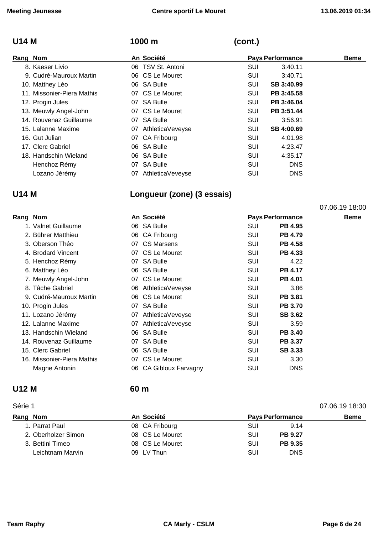07.06.19 18:00

# **U14 M 1000 m (cont.)**

| Rang Nom                   |    | An Société          |            | <b>Pays Performance</b> | <b>Beme</b> |
|----------------------------|----|---------------------|------------|-------------------------|-------------|
| 8. Kaeser Livio            |    | 06 TSV St. Antoni   | SUI        | 3:40.11                 |             |
| 9. Cudré-Mauroux Martin    |    | 06 CS Le Mouret     | SUI        | 3:40.71                 |             |
| 10. Matthey Léo            |    | 06 SA Bulle         | <b>SUI</b> | SB 3:40.99              |             |
| 11. Missonier-Piera Mathis |    | 07 CS Le Mouret     | <b>SUI</b> | PB 3:45.58              |             |
| 12. Progin Jules           |    | 07 SA Bulle         | <b>SUI</b> | PB 3:46.04              |             |
| 13. Meuwly Angel-John      |    | 07 CS Le Mouret     | <b>SUI</b> | PB 3:51.44              |             |
| 14. Rouvenaz Guillaume     |    | 07 SA Bulle         | SUI        | 3:56.91                 |             |
| 15. Lalanne Maxime         |    | 07 AthleticaVeveyse | <b>SUI</b> | SB 4:00.69              |             |
| 16. Gut Julian             |    | 07 CA Fribourg      | <b>SUI</b> | 4:01.98                 |             |
| 17. Clerc Gabriel          |    | 06 SA Bulle         | SUI        | 4:23.47                 |             |
| 18. Handschin Wieland      |    | 06 SA Bulle         | SUI        | 4:35.17                 |             |
| Henchoz Rémy               | 07 | SA Bulle            | <b>SUI</b> | <b>DNS</b>              |             |
| Lozano Jérémy              |    | 07 AthleticaVeveyse | <b>SUI</b> | <b>DNS</b>              |             |

# **U14 M Longueur (zone) (3 essais)**

| Rang Nom |                            |     | An Société                 | <b>Pays Performance</b> |                | <b>Beme</b> |
|----------|----------------------------|-----|----------------------------|-------------------------|----------------|-------------|
|          | 1. Valnet Guillaume        |     | 06 SA Bulle                | SUI                     | <b>PB 4.95</b> |             |
|          | 2. Bührer Matthieu         |     | 06 CA Fribourg             | SUI                     | <b>PB 4.79</b> |             |
|          | 3. Oberson Théo            |     | 07 CS Marsens              | SUI                     | <b>PB 4.58</b> |             |
|          | 4. Brodard Vincent         |     | 07 CS Le Mouret            | SUI                     | PB 4.33        |             |
|          | 5. Henchoz Rémy            |     | 07 SA Bulle                | SUI                     | 4.22           |             |
|          | 6. Matthey Léo             |     | 06 SA Bulle                | SUI                     | <b>PB 4.17</b> |             |
|          | 7. Meuwly Angel-John       |     | 07 CS Le Mouret            | SUI                     | <b>PB 4.01</b> |             |
|          | 8. Tâche Gabriel           |     | 06 AthleticaVeveyse        | SUI                     | 3.86           |             |
|          | 9. Cudré-Mauroux Martin    |     | 06 CS Le Mouret            | SUI                     | <b>PB 3.81</b> |             |
|          | 10. Progin Jules           |     | 07 SA Bulle                | SUI                     | <b>PB 3.70</b> |             |
|          | 11. Lozano Jérémy          |     | 07 AthleticaVeveyse        | SUI                     | <b>SB 3.62</b> |             |
|          | 12. Lalanne Maxime         |     | 07 AthleticaVeveyse        | SUI                     | 3.59           |             |
|          | 13. Handschin Wieland      | 06  | <b>SA Bulle</b>            | SUI                     | <b>PB 3.40</b> |             |
|          | 14. Rouvenaz Guillaume     |     | 07 SA Bulle                | SUI                     | <b>PB 3.37</b> |             |
|          | 15. Clerc Gabriel          |     | 06 SA Bulle                | SUI                     | <b>SB 3.33</b> |             |
|          | 16. Missonier-Piera Mathis |     | 07 CS Le Mouret            | SUI                     | 3.30           |             |
|          | Magne Antonin              | 06. | <b>CA Gibloux Farvagny</b> | <b>SUI</b>              | <b>DNS</b>     |             |

### **U12 M 60 m**

### Série 1 07.06.19 18:30 **Rang Nom An Société Pays Performance Beme**  1. Parrat Paul **08 CA Fribourg CA Fribourg SUI** 9.14 2. Oberholzer Simon **08 CS Le Mouret CES 120 SUI PB 9.27** 3. Bettini Timeo 08 CS Le Mouret SUI **PB 9.35** Leichtnam Marvin 09 LV Thun SUI DNS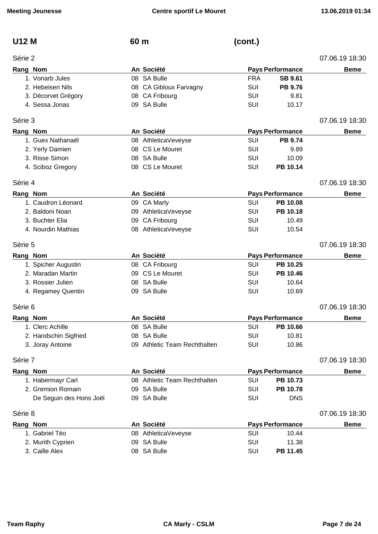| <b>U12 M</b> |  |
|--------------|--|
| Série 2      |  |

| U12 M | 60 m | (cont.) |
|-------|------|---------|
|       |      |         |

| Série 2  |                         |                              |            |                         | 07.06.19 18:30 |
|----------|-------------------------|------------------------------|------------|-------------------------|----------------|
| Rang Nom |                         | An Société                   |            | <b>Pays Performance</b> | <b>Beme</b>    |
|          | 1. Vonarb Jules         | 08 SA Bulle                  | <b>FRA</b> | <b>SB 9.61</b>          |                |
|          | 2. Hebeisen Nils        | 08 CA Gibloux Farvagny       | <b>SUI</b> | <b>PB 9.76</b>          |                |
|          | 3. Décorvet Grégory     | 08 CA Fribourg               | <b>SUI</b> | 9.81                    |                |
|          | 4. Sessa Jonas          | 09 SA Bulle                  | <b>SUI</b> | 10.17                   |                |
| Série 3  |                         |                              |            |                         | 07.06.19 18:30 |
| Rang Nom |                         | An Société                   |            | <b>Pays Performance</b> | <b>Beme</b>    |
|          | 1. Guex Nathanaël       | 08 AthleticaVeveyse          | SUI        | PB 9.74                 |                |
|          | 2. Yerly Damien         | 08 CS Le Mouret              | SUI        | 9.89                    |                |
|          | 3. Risse Simon          | 08 SA Bulle                  | <b>SUI</b> | 10.09                   |                |
|          | 4. Sciboz Gregory       | 08 CS Le Mouret              | <b>SUI</b> | PB 10.14                |                |
| Série 4  |                         |                              |            |                         | 07.06.19 18:30 |
| Rang Nom |                         | An Société                   |            | <b>Pays Performance</b> | <b>Beme</b>    |
|          | 1. Caudron Léonard      | 09 CA Marly                  | SUI        | PB 10.08                |                |
|          | 2. Baldoni Noan         | 09 AthleticaVeveyse          | <b>SUI</b> | PB 10.18                |                |
|          | 3. Buchter Elia         | 09 CA Fribourg               | <b>SUI</b> | 10.49                   |                |
|          | 4. Nourdin Mathias      | 08 AthleticaVeveyse          | <b>SUI</b> | 10.54                   |                |
| Série 5  |                         |                              |            |                         | 07.06.19 18:30 |
| Rang Nom |                         | An Société                   |            | <b>Pays Performance</b> | <b>Beme</b>    |
|          | 1. Spicher Augustin     | 08 CA Fribourg               | SUI        | PB 10.25                |                |
|          | 2. Maradan Martin       | 09 CS Le Mouret              | <b>SUI</b> | PB 10.46                |                |
|          | 3. Rossier Julien       | 08 SA Bulle                  | <b>SUI</b> | 10.64                   |                |
|          | 4. Regamey Quentin      | 09 SA Bulle                  | SUI        | 10.69                   |                |
| Série 6  |                         |                              |            |                         | 07.06.19 18:30 |
| Rang Nom |                         | An Société                   |            | <b>Pays Performance</b> | <b>Beme</b>    |
|          | 1. Clerc Achille        | 08 SA Bulle                  | SUI        | PB 10.66                |                |
|          | 2. Handschin Sigfried   | 08 SA Bulle                  | <b>SUI</b> | 10.81                   |                |
|          | 3. Joray Antoine        | 09 Athletic Team Rechthalten | SUI        | 10.86                   |                |
| Série 7  |                         |                              |            |                         | 07.06.19 18:30 |
| Rang Nom |                         | An Société                   |            | <b>Pays Performance</b> | <b>Beme</b>    |
|          | 1. Habermayr Carl       | 08 Athletic Team Rechthalten | <b>SUI</b> | PB 10.73                |                |
|          | 2. Gremion Romain       | 09 SA Bulle                  | SUI        | PB 10.78                |                |
|          | De Seguin des Hons Joël | 09 SA Bulle                  | SUI        | <b>DNS</b>              |                |
| Série 8  |                         |                              |            |                         | 07.06.19 18:30 |
| Rang Nom |                         | An Société                   |            | <b>Pays Performance</b> | <b>Beme</b>    |
|          | 1. Gabriel Téo          | 08 AthleticaVeveyse          | SUI        | 10.44                   |                |
|          | 2. Murith Cyprien       | 09 SA Bulle                  | SUI        | 11.38                   |                |
|          | 3. Caille Alex          | 08 SA Bulle                  | SUI        | PB 11.45                |                |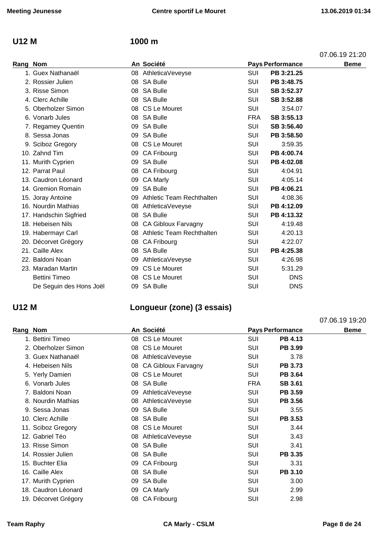### **U12 M 1000 m**

| Rang Nom |                         |    | An Société                   |            | <b>Pays Performance</b> | <b>Beme</b> |
|----------|-------------------------|----|------------------------------|------------|-------------------------|-------------|
|          | 1. Guex Nathanaël       |    | 08 AthleticaVeveyse          | SUI        | PB 3:21.25              |             |
|          | 2. Rossier Julien       |    | 08 SA Bulle                  | SUI        | PB 3:48.75              |             |
|          | 3. Risse Simon          |    | 08 SA Bulle                  | SUI        | SB 3:52.37              |             |
|          | 4. Clerc Achille        |    | 08 SA Bulle                  | <b>SUI</b> | SB 3:52.88              |             |
|          | 5. Oberholzer Simon     |    | 08 CS Le Mouret              | SUI        | 3:54.07                 |             |
|          | 6. Vonarb Jules         |    | 08 SA Bulle                  | <b>FRA</b> | SB 3:55.13              |             |
|          | 7. Regamey Quentin      |    | 09 SA Bulle                  | SUI        | SB 3:56.40              |             |
|          | 8. Sessa Jonas          | 09 | <b>SA Bulle</b>              | <b>SUI</b> | PB 3:58.50              |             |
|          | 9. Sciboz Gregory       |    | 08 CS Le Mouret              | <b>SUI</b> | 3:59.35                 |             |
|          | 10. Zahnd Tim           | 09 | CA Fribourg                  | SUI        | PB 4:00.74              |             |
|          | 11. Murith Cyprien      | 09 | <b>SA Bulle</b>              | SUI        | PB 4:02.08              |             |
|          | 12. Parrat Paul         | 08 | <b>CA Fribourg</b>           | SUI        | 4:04.91                 |             |
|          | 13. Caudron Léonard     | 09 | <b>CA Marly</b>              | <b>SUI</b> | 4:05.14                 |             |
|          | 14. Gremion Romain      |    | 09 SA Bulle                  | SUI        | PB 4:06.21              |             |
|          | 15. Joray Antoine       |    | 09 Athletic Team Rechthalten | SUI        | 4:08.36                 |             |
|          | 16. Nourdin Mathias     |    | 08 AthleticaVeveyse          | <b>SUI</b> | PB 4:12.09              |             |
|          | 17. Handschin Sigfried  | 08 | <b>SA Bulle</b>              | SUI        | PB 4:13.32              |             |
|          | 18. Hebeisen Nils       |    | 08 CA Gibloux Farvagny       | <b>SUI</b> | 4:19.48                 |             |
|          | 19. Habermayr Carl      |    | 08 Athletic Team Rechthalten | <b>SUI</b> | 4:20.13                 |             |
|          | 20. Décorvet Grégory    |    | 08 CA Fribourg               | <b>SUI</b> | 4:22.07                 |             |
|          | 21. Caille Alex         |    | 08 SA Bulle                  | SUI        | PB 4:25.38              |             |
|          | 22. Baldoni Noan        | 09 | AthleticaVeveyse             | SUI        | 4:26.98                 |             |
|          | 23. Maradan Martin      |    | 09 CS Le Mouret              | <b>SUI</b> | 5:31.29                 |             |
|          | <b>Bettini Timeo</b>    |    | 08 CS Le Mouret              | <b>SUI</b> | <b>DNS</b>              |             |
|          | De Seguin des Hons Joël | 09 | <b>SA Bulle</b>              | SUI        | <b>DNS</b>              |             |
|          |                         |    |                              |            |                         |             |

# **U12 M Longueur (zone) (3 essais)**

|          |                      |     |                        |            |                         | 07.06.19 19:20 |
|----------|----------------------|-----|------------------------|------------|-------------------------|----------------|
| Rang Nom |                      |     | An Société             |            | <b>Pays Performance</b> | <b>Beme</b>    |
|          | 1. Bettini Timeo     |     | 08 CS Le Mouret        | <b>SUI</b> | PB 4.13                 |                |
|          | 2. Oberholzer Simon  |     | 08 CS Le Mouret        | SUI        | PB 3.99                 |                |
|          | 3. Guex Nathanaël    | 08  | AthleticaVeveyse       | SUI        | 3.78                    |                |
|          | 4. Hebeisen Nils     |     | 08 CA Gibloux Farvagny | <b>SUI</b> | PB 3.73                 |                |
|          | 5. Yerly Damien      |     | 08 CS Le Mouret        | SUI        | <b>PB 3.64</b>          |                |
|          | 6. Vonarb Jules      |     | 08 SA Bulle            | <b>FRA</b> | <b>SB 3.61</b>          |                |
|          | 7. Baldoni Noan      | 09  | AthleticaVeveyse       | <b>SUI</b> | PB 3.59                 |                |
|          | 8. Nourdin Mathias   | 08  | AthleticaVeveyse       | SUI        | <b>PB 3.56</b>          |                |
|          | 9. Sessa Jonas       |     | 09 SA Bulle            | <b>SUI</b> | 3.55                    |                |
|          | 10. Clerc Achille    |     | 08 SA Bulle            | <b>SUI</b> | <b>PB 3.53</b>          |                |
|          | 11. Sciboz Gregory   |     | 08 CS Le Mouret        | SUI        | 3.44                    |                |
|          | 12. Gabriel Téo      |     | 08 AthleticaVeveyse    | SUI        | 3.43                    |                |
|          | 13. Risse Simon      |     | 08 SA Bulle            | <b>SUI</b> | 3.41                    |                |
|          | 14. Rossier Julien   |     | 08 SA Bulle            | <b>SUI</b> | PB 3.35                 |                |
|          | 15. Buchter Elia     |     | 09 CA Fribourg         | SUI        | 3.31                    |                |
|          | 16. Caille Alex      |     | 08 SA Bulle            | <b>SUI</b> | <b>PB 3.10</b>          |                |
|          | 17. Murith Cyprien   | 09  | <b>SA Bulle</b>        | <b>SUI</b> | 3.00                    |                |
|          | 18. Caudron Léonard  | 09. | <b>CA Marly</b>        | <b>SUI</b> | 2.99                    |                |
|          | 19. Décorvet Grégory |     | 08 CA Fribourg         | <b>SUI</b> | 2.98                    |                |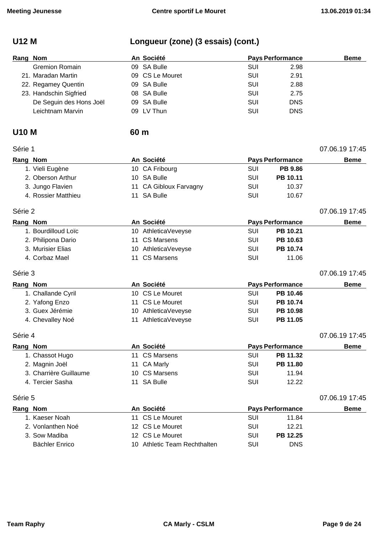# **U12 M Longueur (zone) (3 essais) (cont.)**

| Rang Nom |                         | An Société      | <b>Pays Performance</b> |            | <b>Beme</b> |
|----------|-------------------------|-----------------|-------------------------|------------|-------------|
|          | <b>Gremion Romain</b>   | 09 SA Bulle     | SUI                     | 2.98       |             |
|          | 21. Maradan Martin      | 09 CS Le Mouret | SUI                     | 2.91       |             |
|          | 22. Regamey Quentin     | 09 SA Bulle     | SUI                     | 2.88       |             |
|          | 23. Handschin Sigfried  | 08 SA Bulle     | SUI                     | 2.75       |             |
|          | De Seguin des Hons Joël | 09 SA Bulle     | SUI                     | <b>DNS</b> |             |
|          | Leichtnam Marvin        | 09 LV Thun      | SUI                     | <b>DNS</b> |             |

### **U10 M 60 m**

| Série 1  |                        |    |                        |            |                         | 07.06.19 17:45 |
|----------|------------------------|----|------------------------|------------|-------------------------|----------------|
| Rang Nom |                        |    | An Société             |            | <b>Pays Performance</b> | <b>Beme</b>    |
|          | 1. Vieli Eugène        |    | 10 CA Fribourg         | <b>SUI</b> | <b>PB 9.86</b>          |                |
|          | 2. Oberson Arthur      |    | 10 SA Bulle            | <b>SUI</b> | PB 10.11                |                |
|          | 3. Jungo Flavien       |    | 11 CA Gibloux Farvagny | <b>SUI</b> | 10.37                   |                |
|          | 4. Rossier Matthieu    |    | 11 SA Bulle            | SUI        | 10.67                   |                |
| Série 2  |                        |    |                        |            |                         | 07.06.19 17:45 |
| Rang Nom |                        |    | An Société             |            | <b>Pays Performance</b> | <b>Beme</b>    |
|          | 1. Bourdilloud Loïc    |    | 10 AthleticaVeveyse    | <b>SUI</b> | PB 10.21                |                |
|          | 2. Philipona Dario     | 11 | <b>CS Marsens</b>      | <b>SUI</b> | PB 10.63                |                |
|          | 3. Murisier Elias      | 10 | AthleticaVeveyse       | SUI        | PB 10.74                |                |
|          | 4. Corbaz Mael         | 11 | <b>CS Marsens</b>      | SUI        | 11.06                   |                |
| Série 3  |                        |    |                        |            |                         | 07.06.19 17:45 |
| Rang Nom |                        |    | An Société             |            | <b>Pays Performance</b> | <b>Beme</b>    |
|          | 1. Challande Cyril     |    | 10 CS Le Mouret        | <b>SUI</b> | PB 10.46                |                |
|          | 2. Yafong Enzo         |    | 11 CS Le Mouret        | <b>SUI</b> | PB 10.74                |                |
|          | 3. Guex Jérémie        |    | 10 AthleticaVeveyse    | SUI        | PB 10.98                |                |
|          | 4. Chevalley Noé       | 11 | AthleticaVeveyse       | <b>SUI</b> | PB 11.05                |                |
| Série 4  |                        |    |                        |            |                         | 07.06.19 17:45 |
| Rang Nom |                        |    | An Société             |            | <b>Pays Performance</b> | <b>Beme</b>    |
|          | 1. Chassot Hugo        |    | 11 CS Marsens          | <b>SUI</b> | PB 11.32                |                |
|          | 2. Magnin Joël         | 11 | <b>CA Marly</b>        | <b>SUI</b> | PB 11.80                |                |
|          | 3. Charrière Guillaume |    | 10 CS Marsens          | SUI        | 11.94                   |                |
|          | 4. Tercier Sasha       |    | 11 SA Bulle            | <b>SUI</b> | 12.22                   |                |
| Série 5  |                        |    |                        |            |                         | 07.06.19 17:45 |

| Rang Nom          | An Société                   |     | <b>Pays Performance</b> | <b>Beme</b> |
|-------------------|------------------------------|-----|-------------------------|-------------|
| 1. Kaeser Noah    | 11 CS Le Mouret              | SUI | 11.84                   |             |
| 2. Vonlanthen Noé | 12 CS Le Mouret              | SUI | 12.21                   |             |
| 3. Sow Madiba     | 12 CS Le Mouret              | SUI | <b>PB 12.25</b>         |             |
| Bächler Enrico    | 10 Athletic Team Rechthalten | SUI | DNS                     |             |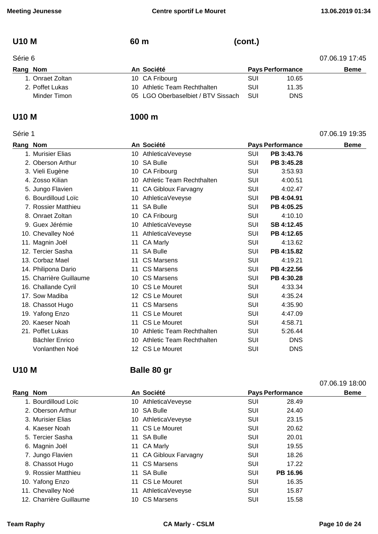# **U10 M 60 m (cont.)**

| Rang | Nom |
|------|-----|

| Série 6          |                                    |            |                         | 07.06.19 17:45 |
|------------------|------------------------------------|------------|-------------------------|----------------|
| Rang Nom         | An Société                         |            | <b>Pays Performance</b> | <b>Beme</b>    |
| 1. Onraet Zoltan | 10 CA Fribourg                     | SUI        | 10.65                   |                |
| 2. Poffet Lukas  | 10 Athletic Team Rechthalten       | SUI        | 11.35                   |                |
| Minder Timon     | 05 LGO Oberbaselbiet / BTV Sissach | <b>SUI</b> | DNS                     |                |

### Série 1 07.06.19 19:35

### **U10 M 1000 m**

| Rang Nom |                         |    | An Société                       |            | <b>Pays Performance</b> | <b>Beme</b> |
|----------|-------------------------|----|----------------------------------|------------|-------------------------|-------------|
|          | 1. Murisier Elias       |    | 10 AthleticaVeveyse              | <b>SUI</b> | PB 3:43.76              |             |
|          | 2. Oberson Arthur       | 10 | <b>SA Bulle</b>                  | <b>SUI</b> | PB 3:45.28              |             |
|          | 3. Vieli Eugène         |    | 10 CA Fribourg                   | SUI        | 3:53.93                 |             |
|          | 4. Zosso Kilian         | 10 | <b>Athletic Team Rechthalten</b> | SUI        | 4:00.51                 |             |
|          | 5. Jungo Flavien        | 11 | <b>CA Gibloux Farvagny</b>       | <b>SUI</b> | 4:02.47                 |             |
|          | 6. Bourdilloud Loïc     | 10 | AthleticaVeveyse                 | <b>SUI</b> | PB 4:04.91              |             |
|          | 7. Rossier Matthieu     | 11 | <b>SA Bulle</b>                  | SUI        | PB 4:05.25              |             |
|          | 8. Onraet Zoltan        | 10 | <b>CA Fribourg</b>               | <b>SUI</b> | 4:10.10                 |             |
|          | 9. Guex Jérémie         |    | 10 AthleticaVeveyse              | <b>SUI</b> | SB 4:12.45              |             |
|          | 10. Chevalley Noé       | 11 | AthleticaVeveyse                 | SUI        | PB 4:12.65              |             |
|          | 11. Magnin Joël         | 11 | <b>CA Marly</b>                  | SUI        | 4:13.62                 |             |
|          | 12. Tercier Sasha       | 11 | <b>SA Bulle</b>                  | SUI        | PB 4:15.82              |             |
|          | 13. Corbaz Mael         | 11 | <b>CS Marsens</b>                | <b>SUI</b> | 4:19.21                 |             |
|          | 14. Philipona Dario     | 11 | <b>CS Marsens</b>                | SUI        | PB 4:22.56              |             |
|          | 15. Charrière Guillaume |    | 10 CS Marsens                    | SUI        | PB 4:30.28              |             |
|          | 16. Challande Cyril     |    | 10 CS Le Mouret                  | <b>SUI</b> | 4:33.34                 |             |
|          | 17. Sow Madiba          |    | 12 CS Le Mouret                  | <b>SUI</b> | 4:35.24                 |             |
|          | 18. Chassot Hugo        |    | 11 CS Marsens                    | <b>SUI</b> | 4:35.90                 |             |
|          | 19. Yafong Enzo         | 11 | CS Le Mouret                     | <b>SUI</b> | 4:47.09                 |             |
|          | 20. Kaeser Noah         |    | 11 CS Le Mouret                  | SUI        | 4:58.71                 |             |
|          | 21. Poffet Lukas        | 10 | <b>Athletic Team Rechthalten</b> | <b>SUI</b> | 5:26.44                 |             |
|          | <b>Bächler Enrico</b>   | 10 | Athletic Team Rechthalten        | <b>SUI</b> | <b>DNS</b>              |             |
|          | Vonlanthen Noé          |    | 12 CS Le Mouret                  | <b>SUI</b> | <b>DNS</b>              |             |

# **U10 M Balle 80 gr**

|          |                         |    |                        |            |                         | 07.06.19 18:00 |
|----------|-------------------------|----|------------------------|------------|-------------------------|----------------|
| Rang Nom |                         |    | An Société             |            | <b>Pays Performance</b> | <b>Beme</b>    |
|          | 1. Bourdilloud Loïc     |    | 10 AthleticaVeveyse    | SUI        | 28.49                   |                |
|          | 2. Oberson Arthur       |    | 10 SA Bulle            | SUI        | 24.40                   |                |
|          | 3. Murisier Elias       |    | 10 AthleticaVeveyse    | <b>SUI</b> | 23.15                   |                |
|          | 4. Kaeser Noah          |    | 11 CS Le Mouret        | <b>SUI</b> | 20.62                   |                |
|          | 5. Tercier Sasha        |    | 11 SA Bulle            | SUI        | 20.01                   |                |
|          | 6. Magnin Joël          |    | 11 CA Marly            | <b>SUI</b> | 19.55                   |                |
|          | 7. Jungo Flavien        |    | 11 CA Gibloux Farvagny | SUI        | 18.26                   |                |
|          | 8. Chassot Hugo         |    | 11 CS Marsens          | SUI        | 17.22                   |                |
|          | 9. Rossier Matthieu     | 11 | <b>SA Bulle</b>        | SUI        | PB 16.96                |                |
|          | 10. Yafong Enzo         | 11 | CS Le Mouret           | <b>SUI</b> | 16.35                   |                |
|          | 11. Chevalley Noé       | 11 | AthleticaVeveyse       | SUI        | 15.87                   |                |
|          | 12. Charrière Guillaume |    | 10 CS Marsens          | SUI        | 15.58                   |                |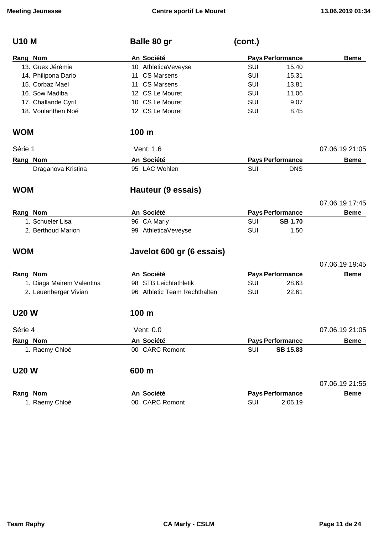| <b>U10 M</b>              | Balle 80 gr                  | (cont.)    |                         |                |
|---------------------------|------------------------------|------------|-------------------------|----------------|
| Rang Nom                  | An Société                   |            | <b>Pays Performance</b> | <b>Beme</b>    |
| 13. Guex Jérémie          | 10 AthleticaVeveyse          | <b>SUI</b> | 15.40                   |                |
| 14. Philipona Dario       | 11 CS Marsens                | <b>SUI</b> | 15.31                   |                |
| 15. Corbaz Mael           | 11 CS Marsens                | <b>SUI</b> | 13.81                   |                |
| 16. Sow Madiba            | 12 CS Le Mouret              | <b>SUI</b> | 11.06                   |                |
| 17. Challande Cyril       | 10 CS Le Mouret              | <b>SUI</b> | 9.07                    |                |
| 18. Vonlanthen Noé        | 12 CS Le Mouret              | <b>SUI</b> | 8.45                    |                |
| <b>WOM</b>                | 100 <sub>m</sub>             |            |                         |                |
| Série 1                   | Vent: 1.6                    |            |                         | 07.06.19 21:05 |
| Rang Nom                  | An Société                   |            | <b>Pays Performance</b> | <b>Beme</b>    |
| Draganova Kristina        | 95 LAC Wohlen                | SUI        | <b>DNS</b>              |                |
| <b>WOM</b>                | Hauteur (9 essais)           |            |                         |                |
|                           |                              |            |                         | 07.06.19 17:45 |
| Rang Nom                  | An Société                   |            | <b>Pays Performance</b> | <b>Beme</b>    |
| 1. Schueler Lisa          | 96 CA Marly                  | <b>SUI</b> | <b>SB 1.70</b>          |                |
| 2. Berthoud Marion        | 99 AthleticaVeveyse          | SUI        | 1.50                    |                |
| <b>WOM</b>                | Javelot 600 gr (6 essais)    |            |                         |                |
|                           |                              |            |                         | 07.06.19 19:45 |
| Rang Nom                  | An Société                   |            | <b>Pays Performance</b> | <b>Beme</b>    |
| 1. Diaga Mairem Valentina | 98 STB Leichtathletik        | SUI        | 28.63                   |                |
| 2. Leuenberger Vivian     | 96 Athletic Team Rechthalten | <b>SUI</b> | 22.61                   |                |
| <b>U20 W</b>              | 100 m                        |            |                         |                |
| Série 4                   | Vent: 0.0                    |            |                         | 07.06.19 21:05 |
| Rang Nom                  | An Société                   |            | <b>Pays Performance</b> | <b>Beme</b>    |
| 1. Raemy Chloé            | 00 CARC Romont               | SUI        | <b>SB 15.83</b>         |                |
| <b>U20 W</b>              | 600 m                        |            |                         |                |
|                           |                              |            |                         | 07.06.19 21:55 |
| Rang Nom                  | An Société                   |            | <b>Pays Performance</b> | <b>Beme</b>    |
| 1. Raemy Chloé            | 00 CARC Romont               | <b>SUI</b> | 2:06.19                 |                |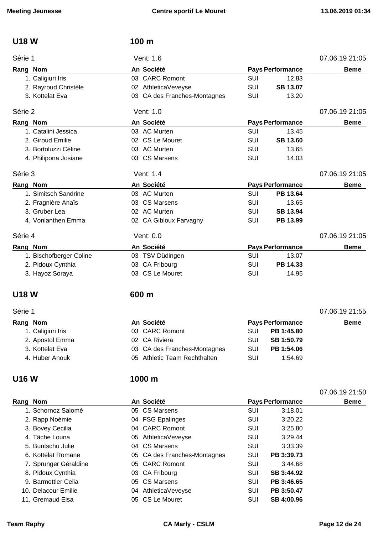| <b>U18W</b>             | 100 <sub>m</sub>             |            |                         |                |
|-------------------------|------------------------------|------------|-------------------------|----------------|
| Série 1                 | Vent: 1.6                    |            |                         | 07.06.19 21:05 |
| Rang Nom                | An Société                   |            | <b>Pays Performance</b> | <b>Beme</b>    |
| 1. Caligiuri Iris       | 03 CARC Romont               | <b>SUI</b> | 12.83                   |                |
| 2. Rayroud Christèle    | 02 AthleticaVeveyse          | SUI        | <b>SB 13.07</b>         |                |
| 3. Kottelat Eva         | 03 CA des Franches-Montagnes | SUI        | 13.20                   |                |
| Série 2                 | Vent: 1.0                    |            |                         | 07.06.19 21:05 |
| Rang Nom                | An Société                   |            | <b>Pays Performance</b> | <b>Beme</b>    |
| 1. Catalini Jessica     | 03 AC Murten                 | <b>SUI</b> | 13.45                   |                |
| 2. Giroud Emilie        | 02 CS Le Mouret              | <b>SUI</b> | <b>SB 13.60</b>         |                |
| 3. Bortoluzzi Céline    | 03 AC Murten                 | <b>SUI</b> | 13.65                   |                |
| 4. Philipona Josiane    | 03 CS Marsens                | SUI        | 14.03                   |                |
| Série 3                 | Vent: 1.4                    |            |                         | 07.06.19 21:05 |
| Rang Nom                | An Société                   |            | <b>Pays Performance</b> | <b>Beme</b>    |
| 1. Simitsch Sandrine    | 03 AC Murten                 | <b>SUI</b> | PB 13.64                |                |
| 2. Fragnière Anaïs      | 03 CS Marsens                | SUI        | 13.65                   |                |
| 3. Gruber Lea           | 02 AC Murten                 | <b>SUI</b> | SB 13.94                |                |
| 4. Vonlanthen Emma      | 02 CA Gibloux Farvagny       | SUI        | PB 13.99                |                |
| Série 4                 | Vent: 0.0                    |            |                         | 07.06.19 21:05 |
| Rang Nom                | An Société                   |            | <b>Pays Performance</b> | <b>Beme</b>    |
| 1. Bischofberger Coline | 03 TSV Düdingen              | <b>SUI</b> | 13.07                   |                |
| 2. Pidoux Cynthia       | 03 CA Fribourg               | <b>SUI</b> | PB 14.33                |                |
| 3. Hayoz Soraya         | 03 CS Le Mouret              | SUI        | 14.95                   |                |
| <b>U18 W</b>            | 600 m                        |            |                         |                |
| Série 1                 |                              |            |                         | 07.06.19 21:55 |
| Rang Nom                | An Société                   |            | <b>Pays Performance</b> | <b>Beme</b>    |
| 1. Caligiuri Iris       | 03 CARC Romont               | <b>SUI</b> | PB 1:45.80              |                |
| 2. Apostol Emma         | 02 CA Riviera                | SUI        | SB 1:50.79              |                |
| 3. Kottelat Eva         | 03 CA des Franches-Montagnes | SUI        | PB 1:54.06              |                |
| 4. Huber Anouk          | 05 Athletic Team Rechthalten | SUI        | 1:54.69                 |                |
| <b>U16W</b>             | 1000 m                       |            |                         |                |
|                         |                              |            |                         | 07.06.19 21:50 |
| Rang Nom                | An Société                   |            | <b>Pays Performance</b> | <b>Beme</b>    |
| 1. Schornoz Salomé      | 05 CS Marsens                | <b>SUI</b> | 3:18.01                 |                |
| 2. Rapp Noémie          | 04 FSG Epalinges             | SUI        | 3:20.22                 |                |
| 3. Bovey Cecilia        | 04 CARC Romont               | <b>SUI</b> | 3:25.80                 |                |
| 4. Tâche Louna          | 05 AthleticaVeveyse          | SUI        | 3:29.44                 |                |
| 5. Buntschu Julie       | 04 CS Marsens                | SUI        | 3:33.39                 |                |
| 6. Kottelat Romane      | 05 CA des Franches-Montagnes | SUI        | PB 3:39.73              |                |
| 7. Sprunger Géraldine   | 05 CARC Romont               | SUI        | 3:44.68                 |                |

8. Pidoux Cynthia **8. Pidoux Cynthia 03 CA Fribourg** SUI **SB 3:44.92** 

- 9. Barmettler Celia **05 CS Marsens** COMARGE COMBINERY SUIRTHER 3:46.65
- 10. Delacour Emilie 04 AthleticaVeveyse SUI **PB 3:50.47** 11. Gremaud Elsa **11. Gremaud Elsa 11. Gremaud Elsa 11. Gremaud Elsa 11. Gremau** 
	-
- **Team Raphy CA Marly CSLM Page 12 de 24**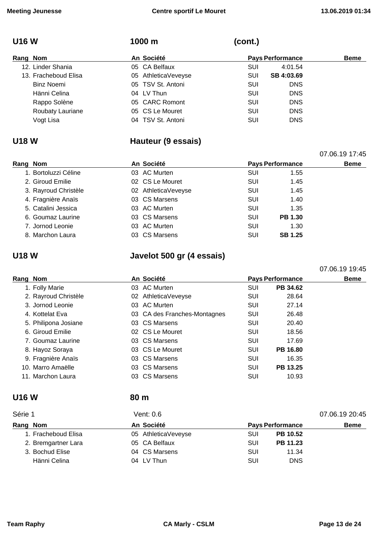1000 m (cont.)

| ×<br>۰. | M.<br>۰. |  |
|---------|----------|--|
|---------|----------|--|

| Rang Nom |                      | An Société |                     |     | <b>Pays Performance</b> | <b>Beme</b> |
|----------|----------------------|------------|---------------------|-----|-------------------------|-------------|
|          | 12. Linder Shania    |            | 05 CA Belfaux       | SUI | 4:01.54                 |             |
|          | 13. Fracheboud Elisa |            | 05 AthleticaVeveyse | SUI | SB 4:03.69              |             |
|          | <b>Binz Noemi</b>    |            | 05 TSV St. Antoni   | SUI | <b>DNS</b>              |             |
|          | Hänni Celina         |            | 04 LV Thun          | SUI | <b>DNS</b>              |             |
|          | Rappo Solène         |            | 05 CARC Romont      | SUI | <b>DNS</b>              |             |
|          | Roubaty Lauriane     |            | 05 CS Le Mouret     | SUI | <b>DNS</b>              |             |
|          | Vogt Lisa            |            | 04 TSV St. Antoni   | SUI | <b>DNS</b>              |             |

### **U18 W Hauteur (9 essais)**

|          |                      |            |                         |     |                | 07.06.19 17:45 |
|----------|----------------------|------------|-------------------------|-----|----------------|----------------|
| Rang Nom |                      | An Société | <b>Pays Performance</b> |     | <b>Beme</b>    |                |
|          | 1. Bortoluzzi Céline |            | 03 AC Murten            | SUI | 1.55           |                |
|          | 2. Giroud Emilie     |            | 02 CS Le Mouret         | SUI | 1.45           |                |
|          | 3. Rayroud Christèle |            | 02 AthleticaVeveyse     | SUI | 1.45           |                |
|          | 4. Fragnière Anaïs   |            | 03 CS Marsens           | SUI | 1.40           |                |
|          | 5. Catalini Jessica  |            | 03 AC Murten            | SUI | 1.35           |                |
|          | 6. Goumaz Laurine    |            | 03 CS Marsens           | SUI | <b>PB 1.30</b> |                |
|          | 7. Jornod Leonie     |            | 03 AC Murten            | SUI | 1.30           |                |
|          | 8. Marchon Laura     |            | 03 CS Marsens           | SUI | <b>SB 1.25</b> |                |

**U18 W Javelot 500 gr (4 essais)**

**Rang** Nom **Beme An** Société **Pays** Performance **Beme** 1. Folly Marie **Community Community Community Community Community Community Community Community Community Community Community Community Community Community Community Community Community Community Community Community Commun** 2. Rayroud Christèle **28.64** 02 AthleticaVeveyse SUI 28.64 3. Jornod Leonie 03 AC Murten SUI 27.14 4. Kottelat Eva 03 CA des Franches-Montagnes SUI 26.48 5. Philipona Josiane **03 CS Marsens** Computer SUI 20.40 6. Giroud Emilie 02 CS Le Mouret SUI 18.56 7. Goumaz Laurine **17.69** CS Marsens **COVID-17.69** COVID-17.69 8. Hayoz Soraya **CS Le Mouret SUI PB 16.80** 9. Fragnière Anaïs **03 CS Marsens** SUI 16.35 10. Marro Amaëlle 03 CS Marsens SUI **PB 13.25** 11. Marchon Laura 03 CS Marsens SUI 10.93

### **U16 W 80 m**

| Série 1             | Vent: $0.6$         |            |                         |             |
|---------------------|---------------------|------------|-------------------------|-------------|
| Rang Nom            | An Société          |            | <b>Pays Performance</b> | <b>Beme</b> |
| 1. Fracheboud Elisa | 05 AthleticaVeveyse | <b>SUI</b> | PB 10.52                |             |
| 2. Bremgartner Lara | 05 CA Belfaux       | SUI        | PB 11.23                |             |
| 3. Bochud Elise     | 04 CS Marsens       | SUI        | 11.34                   |             |
| Hänni Celina        | 04 LV Thun          | SUI        | <b>DNS</b>              |             |

07.06.19 19:45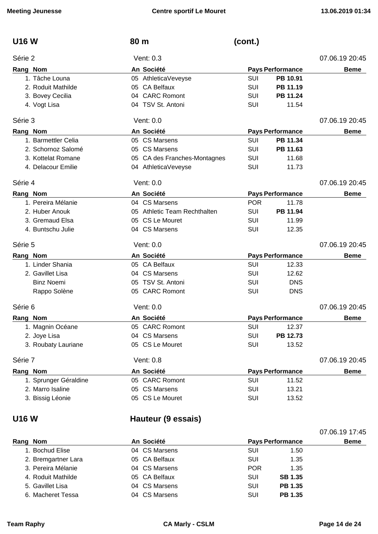| <b>U16 W</b>          | 80 m                         | (cont.)                 |                |
|-----------------------|------------------------------|-------------------------|----------------|
| Série 2               | Vent: 0.3                    |                         | 07.06.19 20:45 |
| Rang Nom              | An Société                   | <b>Pays Performance</b> | <b>Beme</b>    |
| 1. Tâche Louna        | 05 AthleticaVeveyse          | SUI<br>PB 10.91         |                |
| 2. Roduit Mathilde    | 05 CA Belfaux                | <b>SUI</b><br>PB 11.19  |                |
| 3. Bovey Cecilia      | 04 CARC Romont               | PB 11.24<br>SUI         |                |
| 4. Vogt Lisa          | 04 TSV St. Antoni            | SUI<br>11.54            |                |
| Série 3               | Vent: 0.0                    |                         | 07.06.19 20:45 |
| Rang Nom              | An Société                   | <b>Pays Performance</b> | <b>Beme</b>    |
| 1. Barmettler Celia   | 05 CS Marsens                | <b>SUI</b><br>PB 11.34  |                |
| 2. Schornoz Salomé    | 05 CS Marsens                | SUI<br>PB 11.63         |                |
| 3. Kottelat Romane    | 05 CA des Franches-Montagnes | SUI<br>11.68            |                |
| 4. Delacour Emilie    | 04 AthleticaVeveyse          | SUI<br>11.73            |                |
| Série 4               | Vent: 0.0                    |                         | 07.06.19 20:45 |
| Rang Nom              | An Société                   | <b>Pays Performance</b> | <b>Beme</b>    |
| 1. Pereira Mélanie    | 04 CS Marsens                | <b>POR</b><br>11.78     |                |
| 2. Huber Anouk        | 05 Athletic Team Rechthalten | SUI<br>PB 11.94         |                |
| 3. Gremaud Elsa       | 05 CS Le Mouret              | SUI<br>11.99            |                |
| 4. Buntschu Julie     | 04 CS Marsens                | SUI<br>12.35            |                |
| Série 5               | Vent: 0.0                    |                         | 07.06.19 20:45 |
| Rang Nom              | An Société                   | Pays Performance        | <b>Beme</b>    |
| 1. Linder Shania      | 05 CA Belfaux                | SUI<br>12.33            |                |
| 2. Gavillet Lisa      | 04 CS Marsens                | SUI<br>12.62            |                |
| <b>Binz Noemi</b>     | TSV St. Antoni<br>05.        | <b>DNS</b><br>SUI       |                |
| Rappo Solène          | 05 CARC Romont               | SUI<br><b>DNS</b>       |                |
| Série 6               | Vent: 0.0                    |                         | 07.06.19 20:45 |
| Rang Nom              | An Société                   | <b>Pays Performance</b> | <b>Beme</b>    |
| 1. Magnin Océane      | 05 CARC Romont               | <b>SUI</b><br>12.37     |                |
| 2. Joye Lisa          | 04 CS Marsens                | <b>SUI</b><br>PB 12.73  |                |
| 3. Roubaty Lauriane   | 05 CS Le Mouret              | SUI<br>13.52            |                |
| Série 7               | Vent: 0.8                    |                         | 07.06.19 20:45 |
| Rang Nom              | An Société                   | <b>Pays Performance</b> | <b>Beme</b>    |
| 1. Sprunger Géraldine | 05 CARC Romont               | SUI<br>11.52            |                |
| 2. Marro Isaline      | 05 CS Marsens                | SUI<br>13.21            |                |
| 3. Bissig Léonie      | 05 CS Le Mouret              | SUI<br>13.52            |                |
|                       |                              |                         |                |

# **U16 W Hauteur (9 essais)**

|      |                     |               |                         | 07.06.19 17:45 |
|------|---------------------|---------------|-------------------------|----------------|
| Rang | <b>Nom</b>          | An Société    | <b>Pays Performance</b> | <b>Beme</b>    |
|      | 1. Bochud Elise     | 04 CS Marsens | SUI<br>1.50             |                |
|      | 2. Bremgartner Lara | 05 CA Belfaux | SUI<br>1.35             |                |
|      | 3. Pereira Mélanie  | 04 CS Marsens | <b>POR</b><br>1.35      |                |
|      | 4. Roduit Mathilde  | 05 CA Belfaux | <b>SB 1.35</b><br>SUI   |                |
|      | 5. Gavillet Lisa    | 04 CS Marsens | <b>PB 1.35</b><br>SUI   |                |
|      | 6. Macheret Tessa   | 04 CS Marsens | PB 1.35<br>SUI          |                |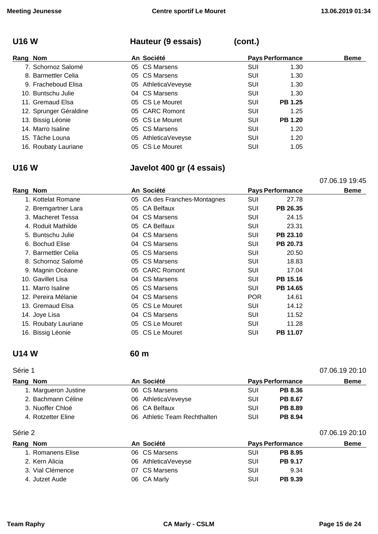# **U16 W Hauteur (9 essais) (cont.)**

| Rang Nom |                        | An Société          | <b>Pays Performance</b> |                | <b>Beme</b> |
|----------|------------------------|---------------------|-------------------------|----------------|-------------|
|          | 7. Schornoz Salomé     | 05 CS Marsens       | SUI                     | 1.30           |             |
|          | 8. Barmettler Celia    | 05 CS Marsens       | SUI                     | 1.30           |             |
|          | 9. Fracheboud Elisa    | 05 AthleticaVeveyse | SUI                     | 1.30           |             |
|          | 10. Buntschu Julie     | 04 CS Marsens       | SUI                     | 1.30           |             |
|          | 11. Gremaud Elsa       | 05 CS Le Mouret     | SUI                     | <b>PB 1.25</b> |             |
|          | 12. Sprunger Géraldine | 05 CARC Romont      | <b>SUI</b>              | 1.25           |             |
|          | 13. Bissig Léonie      | 05 CS Le Mouret     | SUI                     | <b>PB 1.20</b> |             |
|          | 14. Marro Isaline      | 05 CS Marsens       | SUI                     | 1.20           |             |
|          | 15. Tâche Louna        | 05 AthleticaVeveyse | SUI                     | 1.20           |             |
|          | 16. Roubaty Lauriane   | 05 CS Le Mouret     | SUI                     | 1.05           |             |

## **U16 W Javelot 400 gr (4 essais)**

07.06.19 19:45

| Rang Nom |                      | An Société                   |            | <b>Pays Performance</b> | <b>Beme</b> |
|----------|----------------------|------------------------------|------------|-------------------------|-------------|
|          | 1. Kottelat Romane   | 05 CA des Franches-Montagnes | <b>SUI</b> | 27.78                   |             |
|          | 2. Bremgartner Lara  | 05 CA Belfaux                | SUI        | PB 26.35                |             |
|          | 3. Macheret Tessa    | 04 CS Marsens                | <b>SUI</b> | 24.15                   |             |
|          | 4. Roduit Mathilde   | 05 CA Belfaux                | SUI        | 23.31                   |             |
|          | 5. Buntschu Julie    | 04 CS Marsens                | SUI        | PB 23.10                |             |
|          | 6. Bochud Elise      | 04 CS Marsens                | SUI        | PB 20.73                |             |
|          | 7. Barmettler Celia  | 05 CS Marsens                | SUI        | 20.50                   |             |
|          | 8. Schornoz Salomé   | 05 CS Marsens                | SUI        | 18.83                   |             |
|          | 9. Magnin Océane     | 05 CARC Romont               | SUI        | 17.04                   |             |
|          | 10. Gavillet Lisa    | 04 CS Marsens                | SUI        | PB 15.16                |             |
|          | 11. Marro Isaline    | 05 CS Marsens                | SUI        | PB 14.65                |             |
|          | 12. Pereira Mélanie  | 04 CS Marsens                | <b>POR</b> | 14.61                   |             |
|          | 13. Gremaud Elsa     | 05 CS Le Mouret              | SUI        | 14.12                   |             |
|          | 14. Joye Lisa        | 04 CS Marsens                | SUI        | 11.52                   |             |
|          | 15. Roubaty Lauriane | 05 CS Le Mouret              | SUI        | 11.28                   |             |
|          | 16. Bissig Léonie    | 05 CS Le Mouret              | SUI        | PB 11.07                |             |

### **U14 W 60 m**

| Série 1<br>07.06.19 20:10 |                               |     |                         |                |  |
|---------------------------|-------------------------------|-----|-------------------------|----------------|--|
| Rang Nom                  | An Société                    |     | <b>Pays Performance</b> | <b>Beme</b>    |  |
| 1. Margueron Justine      | 06 CS Marsens                 | SUI | <b>PB 8.36</b>          |                |  |
| 2. Bachmann Céline        | 06 AthleticaVeveyse           | SUI | <b>PB 8.67</b>          |                |  |
| 3. Nuoffer Chloé          | 06 CA Belfaux                 | SUI | <b>PB 8.89</b>          |                |  |
| 4. Rotzetter Eline        | 06 Athletic Team Rechthalten  | SUI | <b>PB 8.94</b>          |                |  |
| Série 2                   |                               |     |                         | 07.06.19 20:10 |  |
| ___                       | $\mathbf{r}$ and $\mathbf{r}$ |     |                         |                |  |

| Rang Nom          | An Société          | <b>Pays Performance</b> | <b>Beme</b> |
|-------------------|---------------------|-------------------------|-------------|
| 1. Romanens Elise | 06 CS Marsens       | SUI<br><b>PB 8.95</b>   |             |
| 2. Kern Alicia    | 06 AthleticaVeveyse | SUI<br><b>PB 9.17</b>   |             |
| 3. Vial Clémence  | 07 CS Marsens       | SUI<br>9.34             |             |
| 4. Jutzet Aude    | 06 CA Marly         | SUI<br>PB 9.39          |             |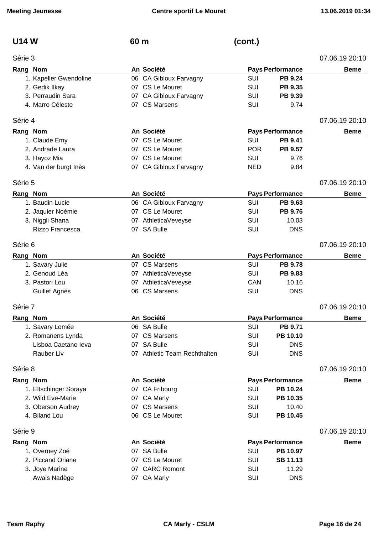**U14 W 60 m (cont.)**

|  |  | . . | ₽ | W | ٧ |
|--|--|-----|---|---|---|
|--|--|-----|---|---|---|

### Série 3 07.06.19 20:10

| Rang Nom |                        | An Société                   |            | <b>Pays Performance</b> | <b>Beme</b>    |
|----------|------------------------|------------------------------|------------|-------------------------|----------------|
|          | 1. Kapeller Gwendoline | 06 CA Gibloux Farvagny       | SUI        | <b>PB 9.24</b>          |                |
|          | 2. Gedik Ilkay         | 07 CS Le Mouret              | <b>SUI</b> | PB 9.35                 |                |
|          | 3. Perraudin Sara      | 07 CA Gibloux Farvagny       | SUI        | PB 9.39                 |                |
|          | 4. Marro Céleste       | 07 CS Marsens                | SUI        | 9.74                    |                |
| Série 4  |                        |                              |            |                         | 07.06.19 20:10 |
| Rang Nom |                        | An Société                   |            | <b>Pays Performance</b> | <b>Beme</b>    |
|          | 1. Claude Emy          | 07 CS Le Mouret              | <b>SUI</b> | PB 9.41                 |                |
|          | 2. Andrade Laura       | 07 CS Le Mouret              | <b>POR</b> | PB 9.57                 |                |
|          | 3. Hayoz Mia           | 07 CS Le Mouret              | <b>SUI</b> | 9.76                    |                |
|          | 4. Van der burgt Inès  | 07 CA Gibloux Farvagny       | <b>NED</b> | 9.84                    |                |
| Série 5  |                        |                              |            |                         | 07.06.19 20:10 |
| Rang Nom |                        | An Société                   |            | <b>Pays Performance</b> | <b>Beme</b>    |
|          | 1. Baudin Lucie        | 06 CA Gibloux Farvagny       | SUI        | PB 9.63                 |                |
|          | 2. Jaquier Noémie      | 07 CS Le Mouret              | SUI        | PB 9.76                 |                |
|          | 3. Niggli Shana        | 07 AthleticaVeveyse          | SUI        | 10.03                   |                |
|          | Rizzo Francesca        | 07 SA Bulle                  | SUI        | <b>DNS</b>              |                |
| Série 6  |                        |                              |            |                         | 07.06.19 20:10 |
| Rang Nom |                        | An Société                   |            | <b>Pays Performance</b> | <b>Beme</b>    |
|          | 1. Savary Julie        | 07 CS Marsens                | <b>SUI</b> | <b>PB 9.78</b>          |                |
|          | 2. Genoud Léa          | 07 AthleticaVeveyse          | <b>SUI</b> | PB 9.83                 |                |
|          | 3. Pastori Lou         | 07 AthleticaVeveyse          | CAN        | 10.16                   |                |
|          | Guillet Agnès          | 06 CS Marsens                | SUI        | <b>DNS</b>              |                |
| Série 7  |                        |                              |            |                         | 07.06.19 20:10 |
| Rang Nom |                        | An Société                   |            | <b>Pays Performance</b> | <b>Beme</b>    |
|          | 1. Savary Lomée        | 06 SA Bulle                  | <b>SUI</b> | <b>PB 9.71</b>          |                |
|          | 2. Romanens Lynda      | 07 CS Marsens                | SUI        | PB 10.10                |                |
|          | Lisboa Caetano leva    | 07 SA Bulle                  | SUI        | <b>DNS</b>              |                |
|          | Rauber Liv             | 07 Athletic Team Rechthalten | SUI        | <b>DNS</b>              |                |
| Série 8  |                        |                              |            |                         | 07.06.19 20:10 |
| Rang Nom |                        | An Société                   |            | <b>Pays Performance</b> | <b>Beme</b>    |
|          | 1. Eltschinger Soraya  | 07 CA Fribourg               | SUI        | PB 10.24                |                |
|          | 2. Wild Eve-Marie      | 07 CA Marly                  | <b>SUI</b> | PB 10.35                |                |
|          | 3. Oberson Audrey      | 07 CS Marsens                | <b>SUI</b> | 10.40                   |                |
|          | 4. Biland Lou          | 06 CS Le Mouret              | SUI        | PB 10.45                |                |
| Série 9  |                        |                              |            |                         | 07.06.19 20:10 |
| Rang Nom |                        | An Société                   |            | <b>Pays Performance</b> | <b>Beme</b>    |
|          | 1. Overney Zoé         | 07 SA Bulle                  | SUI        | PB 10.97                |                |
|          | 2. Piccand Oriane      | 07 CS Le Mouret              | <b>SUI</b> | <b>SB 11.13</b>         |                |
|          | 3. Joye Marine         | 07 CARC Romont               | SUI        | 11.29                   |                |
|          | Awais Nadège           | 07 CA Marly                  | <b>SUI</b> | <b>DNS</b>              |                |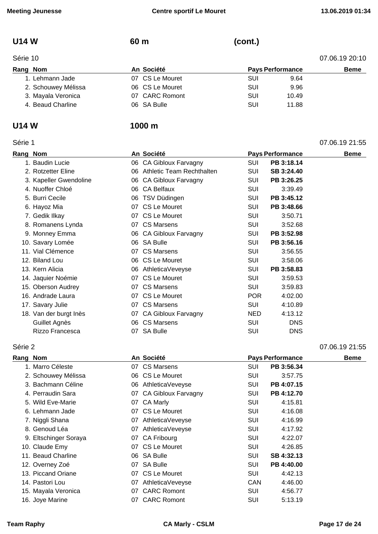07.06.19 21:55

# **U14 W 60 m (cont.)**

| Rang Nom |  |
|----------|--|

| Série 10 |                     |                 |                         |       | 07.06.19 20:10 |
|----------|---------------------|-----------------|-------------------------|-------|----------------|
| Rang Nom |                     | An Société      | <b>Pays Performance</b> |       | <b>Beme</b>    |
|          | 1. Lehmann Jade     | 07 CS Le Mouret | SUI                     | 9.64  |                |
|          | 2. Schouwey Mélissa | 06 CS Le Mouret | SUI                     | 9.96  |                |
|          | 3. Mayala Veronica  | 07 CARC Romont  | SUI                     | 10.49 |                |
|          | 4. Beaud Charline   | 06 SA Bulle     | SUI                     | 11.88 |                |

### **U14 W 1000 m**

| . . | ı  |  |
|-----|----|--|
| u.  | ۱Г |  |

| Rang Nom |                        |    | An Société                       |            | <b>Pays Performance</b> | <b>Beme</b> |
|----------|------------------------|----|----------------------------------|------------|-------------------------|-------------|
|          | 1. Baudin Lucie        |    | 06 CA Gibloux Farvagny           | <b>SUI</b> | PB 3:18.14              |             |
|          | 2. Rotzetter Eline     | 06 | <b>Athletic Team Rechthalten</b> | SUI        | SB 3:24.40              |             |
|          | 3. Kapeller Gwendoline | 06 | <b>CA Gibloux Farvagny</b>       | SUI        | PB 3:26.25              |             |
|          | 4. Nuoffer Chloé       | 06 | <b>CA Belfaux</b>                | SUI        | 3:39.49                 |             |
|          | 5. Burri Cecile        | 06 | TSV Düdingen                     | SUI        | PB 3:45.12              |             |
|          | 6. Hayoz Mia           |    | 07 CS Le Mouret                  | SUI        | PB 3:48.66              |             |
|          | 7. Gedik Ilkay         |    | 07 CS Le Mouret                  | <b>SUI</b> | 3:50.71                 |             |
|          | 8. Romanens Lynda      |    | 07 CS Marsens                    | SUI        | 3:52.68                 |             |
|          | 9. Monney Emma         |    | 06 CA Gibloux Farvagny           | SUI        | PB 3:52.98              |             |
|          | 10. Savary Lomée       |    | 06 SA Bulle                      | SUI        | PB 3:56.16              |             |
|          | 11. Vial Clémence      |    | 07 CS Marsens                    | <b>SUI</b> | 3:56.55                 |             |
|          | 12. Biland Lou         |    | 06 CS Le Mouret                  | <b>SUI</b> | 3:58.06                 |             |
|          | 13. Kern Alicia        | 06 | AthleticaVeveyse                 | <b>SUI</b> | PB 3:58.83              |             |
|          | 14. Jaquier Noémie     |    | 07 CS Le Mouret                  | <b>SUI</b> | 3:59.53                 |             |
|          | 15. Oberson Audrey     |    | 07 CS Marsens                    | <b>SUI</b> | 3:59.83                 |             |
|          | 16. Andrade Laura      |    | 07 CS Le Mouret                  | <b>POR</b> | 4:02.00                 |             |
|          | 17. Savary Julie       |    | 07 CS Marsens                    | SUI        | 4:10.89                 |             |
|          | 18. Van der burgt Inès |    | 07 CA Gibloux Farvagny           | <b>NED</b> | 4:13.12                 |             |
|          | Guillet Agnès          | 06 | <b>CS Marsens</b>                | SUI        | <b>DNS</b>              |             |
|          | Rizzo Francesca        |    | 07 SA Bulle                      | <b>SUI</b> | <b>DNS</b>              |             |

### Série 2 07.06.19 21:55

| Rang Nom |                       |    | An Société             |            | <b>Pays Performance</b> | <b>Beme</b> |
|----------|-----------------------|----|------------------------|------------|-------------------------|-------------|
|          | 1. Marro Céleste      |    | 07 CS Marsens          | <b>SUI</b> | PB 3:56.34              |             |
|          | 2. Schouwey Mélissa   |    | 06 CS Le Mouret        | <b>SUI</b> | 3:57.75                 |             |
|          | 3. Bachmann Céline    |    | 06 AthleticaVeveyse    | SUI        | PB 4:07.15              |             |
|          | 4. Perraudin Sara     |    | 07 CA Gibloux Farvagny | SUI        | PB 4:12.70              |             |
|          | 5. Wild Eve-Marie     |    | 07 CA Marly            | SUI        | 4:15.81                 |             |
|          | 6. Lehmann Jade       |    | 07 CS Le Mouret        | SUI        | 4:16.08                 |             |
|          | 7. Niggli Shana       |    | 07 AthleticaVeveyse    | <b>SUI</b> | 4:16.99                 |             |
|          | 8. Genoud Léa         |    | 07 AthleticaVeveyse    | <b>SUI</b> | 4:17.92                 |             |
|          | 9. Eltschinger Soraya |    | 07 CA Fribourg         | <b>SUI</b> | 4:22.07                 |             |
|          | 10. Claude Emy        |    | 07 CS Le Mouret        | <b>SUI</b> | 4:26.85                 |             |
|          | 11. Beaud Charline    |    | 06 SA Bulle            | SUI        | SB 4:32.13              |             |
|          | 12. Overney Zoé       |    | 07 SA Bulle            | SUI        | PB 4:40.00              |             |
|          | 13. Piccand Oriane    |    | 07 CS Le Mouret        | SUI        | 4:42.13                 |             |
|          | 14. Pastori Lou       |    | 07 AthleticaVeveyse    | <b>CAN</b> | 4:46.00                 |             |
|          | 15. Mayala Veronica   | 07 | <b>CARC Romont</b>     | SUI        | 4:56.77                 |             |
|          | 16. Joye Marine       |    | 07 CARC Romont         | <b>SUI</b> | 5:13.19                 |             |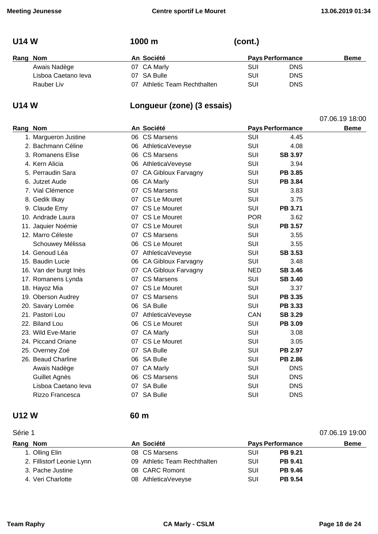07.06.19 18:00

| ×<br>۰. |  |  |
|---------|--|--|
|---------|--|--|

| Rang Nom |                     | An Société                   |     | <b>Pays Performance</b> | <b>Beme</b> |
|----------|---------------------|------------------------------|-----|-------------------------|-------------|
|          | Awais Nadège        | 07 CA Marly                  | SUI | <b>DNS</b>              |             |
|          | Lisboa Caetano leva | 07 SA Bulle                  | SUI | <b>DNS</b>              |             |
|          | Rauber Liv          | 07 Athletic Team Rechthalten | SUI | <b>DNS</b>              |             |

**U14 W 1000 m (cont.)**

# **U14 W Longueur (zone) (3 essais)**

| Rang Nom |                        |    | An Société             | <b>Pays Performance</b> |                | <b>Beme</b> |
|----------|------------------------|----|------------------------|-------------------------|----------------|-------------|
|          | 1. Margueron Justine   |    | 06 CS Marsens          | <b>SUI</b>              | 4.45           |             |
|          | 2. Bachmann Céline     |    | 06 AthleticaVeveyse    | <b>SUI</b>              | 4.08           |             |
|          | 3. Romanens Elise      |    | 06 CS Marsens          | <b>SUI</b>              | <b>SB 3.97</b> |             |
|          | 4. Kern Alicia         |    | 06 AthleticaVeveyse    | SUI                     | 3.94           |             |
|          | 5. Perraudin Sara      |    | 07 CA Gibloux Farvagny | <b>SUI</b>              | PB 3.85        |             |
|          | 6. Jutzet Aude         |    | 06 CA Marly            | <b>SUI</b>              | PB 3.84        |             |
|          | 7. Vial Clémence       |    | 07 CS Marsens          | <b>SUI</b>              | 3.83           |             |
|          | 8. Gedik Ilkay         |    | 07 CS Le Mouret        | <b>SUI</b>              | 3.75           |             |
|          | 9. Claude Emy          |    | 07 CS Le Mouret        | <b>SUI</b>              | PB 3.71        |             |
|          | 10. Andrade Laura      |    | 07 CS Le Mouret        | <b>POR</b>              | 3.62           |             |
|          | 11. Jaquier Noémie     |    | 07 CS Le Mouret        | <b>SUI</b>              | <b>PB 3.57</b> |             |
|          | 12. Marro Céleste      |    | 07 CS Marsens          | <b>SUI</b>              | 3.55           |             |
|          | Schouwey Mélissa       |    | 06 CS Le Mouret        | <b>SUI</b>              | 3.55           |             |
|          | 14. Genoud Léa         |    | 07 AthleticaVeveyse    | <b>SUI</b>              | <b>SB 3.53</b> |             |
|          | 15. Baudin Lucie       |    | 06 CA Gibloux Farvagny | <b>SUI</b>              | 3.48           |             |
|          | 16. Van der burgt Inès |    | 07 CA Gibloux Farvagny | <b>NED</b>              | <b>SB 3.46</b> |             |
|          | 17. Romanens Lynda     |    | 07 CS Marsens          | <b>SUI</b>              | <b>SB 3.40</b> |             |
|          | 18. Hayoz Mia          |    | 07 CS Le Mouret        | <b>SUI</b>              | 3.37           |             |
|          | 19. Oberson Audrey     |    | 07 CS Marsens          | <b>SUI</b>              | PB 3.35        |             |
|          | 20. Savary Lomée       |    | 06 SA Bulle            | <b>SUI</b>              | PB 3.33        |             |
|          | 21. Pastori Lou        |    | 07 AthleticaVeveyse    | CAN                     | <b>SB 3.29</b> |             |
|          | 22. Biland Lou         |    | 06 CS Le Mouret        | <b>SUI</b>              | PB 3.09        |             |
|          | 23. Wild Eve-Marie     |    | 07 CA Marly            | <b>SUI</b>              | 3.08           |             |
|          | 24. Piccand Oriane     |    | 07 CS Le Mouret        | <b>SUI</b>              | 3.05           |             |
|          | 25. Overney Zoé        |    | 07 SA Bulle            | <b>SUI</b>              | PB 2.97        |             |
|          | 26. Beaud Charline     |    | 06 SA Bulle            | <b>SUI</b>              | PB 2.86        |             |
|          | Awais Nadège           |    | 07 CA Marly            | <b>SUI</b>              | <b>DNS</b>     |             |
|          | Guillet Agnès          |    | 06 CS Marsens          | <b>SUI</b>              | <b>DNS</b>     |             |
|          | Lisboa Caetano leva    |    | 07 SA Bulle            | <b>SUI</b>              | <b>DNS</b>     |             |
|          | Rizzo Francesca        | 07 | <b>SA Bulle</b>        | SUI                     | <b>DNS</b>     |             |

### **U12 W 60 m**

### Série 1 07.06.19 19:00

| Rang Nom                  | An Société                   |            | <b>Pays Performance</b> | <b>Beme</b> |
|---------------------------|------------------------------|------------|-------------------------|-------------|
| 1. Olling Elin            | 08 CS Marsens                | <b>SUI</b> | <b>PB 9.21</b>          |             |
| 2. Fillistorf Leonie Lynn | 09 Athletic Team Rechthalten | <b>SUI</b> | <b>PB 9.41</b>          |             |
| 3. Pache Justine          | 08 CARC Romont               | SUI        | <b>PB 9.46</b>          |             |
| 4. Veri Charlotte         | 08 AthleticaVeveyse          | SUI        | <b>PB 9.54</b>          |             |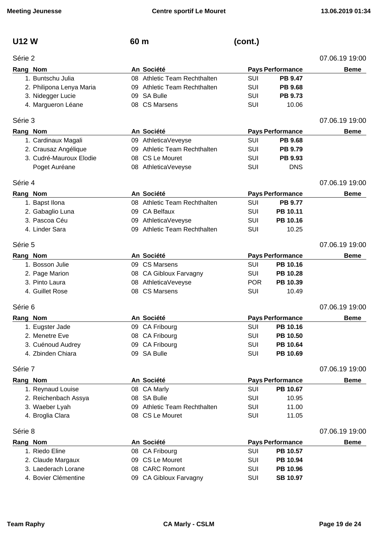| U12 W   |                          | 60 m |                              | (cont.)    |                         |                |
|---------|--------------------------|------|------------------------------|------------|-------------------------|----------------|
| Série 2 |                          |      |                              |            |                         | 07.06.19 19:00 |
|         | Rang Nom                 |      | An Société                   |            | <b>Pays Performance</b> | <b>Beme</b>    |
|         | 1. Buntschu Julia        |      | 08 Athletic Team Rechthalten | SUI        | <b>PB 9.47</b>          |                |
|         | 2. Philipona Lenya Maria |      | 09 Athletic Team Rechthalten | SUI        | <b>PB 9.68</b>          |                |
|         | 3. Nidegger Lucie        |      | 09 SA Bulle                  | <b>SUI</b> | <b>PB 9.73</b>          |                |
|         | 4. Margueron Léane       |      | 08 CS Marsens                | SUI        | 10.06                   |                |
| Série 3 |                          |      |                              |            |                         | 07.06.19 19:00 |
|         | Rang Nom                 |      | An Société                   |            | <b>Pays Performance</b> | <b>Beme</b>    |
|         | 1. Cardinaux Magali      |      | 09 AthleticaVeveyse          | SUI        | PB 9.68                 |                |
|         | 2. Crausaz Angélique     |      | 09 Athletic Team Rechthalten | SUI        | <b>PB 9.79</b>          |                |
|         | 3. Cudré-Mauroux Elodie  |      | 08 CS Le Mouret              | <b>SUI</b> | PB 9.93                 |                |
|         | Poget Auréane            |      | 08 AthleticaVeveyse          | SUI        | <b>DNS</b>              |                |
| Série 4 |                          |      |                              |            |                         | 07.06.19 19:00 |
|         | Rang Nom                 |      | An Société                   |            | <b>Pays Performance</b> | <b>Beme</b>    |
|         | 1. Bapst Ilona           |      | 08 Athletic Team Rechthalten | SUI        | <b>PB 9.77</b>          |                |
|         | 2. Gabaglio Luna         |      | 09 CA Belfaux                | <b>SUI</b> | PB 10.11                |                |
|         | 3. Pascoa Céu            |      | 09 AthleticaVeveyse          | SUI        | PB 10.16                |                |
|         | 4. Linder Sara           |      | 09 Athletic Team Rechthalten | SUI        | 10.25                   |                |
| Série 5 |                          |      |                              |            |                         | 07.06.19 19:00 |
|         | Rang Nom                 |      | An Société                   |            | <b>Pays Performance</b> | <b>Beme</b>    |
|         | 1. Bosson Julie          |      | 09 CS Marsens                | <b>SUI</b> | PB 10.16                |                |
|         | 2. Page Marion           |      | 08 CA Gibloux Farvagny       | <b>SUI</b> | PB 10.28                |                |
|         | 3. Pinto Laura           |      | 08 AthleticaVeveyse          | <b>POR</b> | PB 10.39                |                |
|         | 4. Guillet Rose          |      | 08 CS Marsens                | SUI        | 10.49                   |                |
| Série 6 |                          |      |                              |            |                         | 07.06.19 19:00 |
|         | Rang Nom                 |      | An Société                   |            | <b>Pays Performance</b> | <b>Beme</b>    |
|         | 1. Eugster Jade          |      | 09 CA Fribourg               | SUI        | PB 10.16                |                |
|         | 2. Menetre Eve           |      | 08 CA Fribourg               | SUI        | PB 10.50                |                |
|         | 3. Cuénoud Audrey        |      | 09 CA Fribourg               | <b>SUI</b> | PB 10.64                |                |
|         | 4. Zbinden Chiara        |      | 09 SA Bulle                  | SUI        | PB 10.69                |                |
| Série 7 |                          |      |                              |            |                         | 07.06.19 19:00 |
|         | Rang Nom                 |      | An Société                   |            | <b>Pays Performance</b> | <b>Beme</b>    |
|         | 1. Reynaud Louise        |      | 08 CA Marly                  | <b>SUI</b> | PB 10.67                |                |
|         | 2. Reichenbach Assya     |      | 08 SA Bulle                  | <b>SUI</b> | 10.95                   |                |
|         | 3. Waeber Lyah           |      | 09 Athletic Team Rechthalten | <b>SUI</b> | 11.00                   |                |
|         | 4. Broglia Clara         |      | 08 CS Le Mouret              | SUI        | 11.05                   |                |
| Série 8 |                          |      |                              |            |                         | 07.06.19 19:00 |
|         | Rang Nom                 |      | An Société                   |            | <b>Pays Performance</b> | <b>Beme</b>    |
|         | 1. Riedo Eline           |      | 08 CA Fribourg               | <b>SUI</b> | PB 10.57                |                |

2. Claude Margaux **09 CS Le Mouret 1998** SUI PB 10.94 3. Laederach Lorane 08 CARC Romont SUI **PB 10.96** 4. Bovier Clémentine 09 CA Gibloux Farvagny SUI **SB 10.97**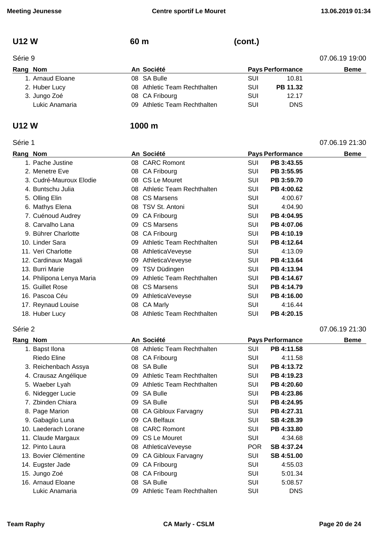# **U12 W 60 m (cont.)**

| Rang | Non |
|------|-----|

| Série 9          | 07.06.19 19:00               |     |                         |             |
|------------------|------------------------------|-----|-------------------------|-------------|
| Rang Nom         | An Société                   |     | <b>Pays Performance</b> | <b>Beme</b> |
| 1. Arnaud Eloane | 08 SA Bulle                  | SUI | 10.81                   |             |
| 2. Huber Lucy    | 08 Athletic Team Rechthalten | SUI | PB 11.32                |             |
| 3. Jungo Zoé     | 08 CA Fribourg               | SUI | 12.17                   |             |
| Lukic Anamaria   | 09 Athletic Team Rechthalten | SUI | <b>DNS</b>              |             |

### **U12 W 1000 m**

| Rang Nom |                           |    | An Société                |            | <b>Pays Performance</b> | <b>Beme</b> |
|----------|---------------------------|----|---------------------------|------------|-------------------------|-------------|
|          | 1. Pache Justine          | 08 | <b>CARC Romont</b>        | <b>SUI</b> | PB 3:43.55              |             |
|          | 2. Menetre Eve            | 08 | CA Fribourg               | <b>SUI</b> | PB 3:55.95              |             |
|          | 3. Cudré-Mauroux Elodie   | 08 | CS Le Mouret              | SUI        | PB 3:59.70              |             |
|          | 4. Buntschu Julia         | 08 | Athletic Team Rechthalten | SUI        | PB 4:00.62              |             |
|          | 5. Olling Elin            | 08 | <b>CS Marsens</b>         | SUI        | 4:00.67                 |             |
|          | 6. Mathys Elena           | 08 | TSV St. Antoni            | SUI        | 4:04.90                 |             |
|          | 7. Cuénoud Audrey         | 09 | CA Fribourg               | SUI        | PB 4:04.95              |             |
|          | 8. Carvalho Lana          | 09 | <b>CS Marsens</b>         | SUI        | PB 4:07.06              |             |
|          | 9. Bührer Charlotte       | 08 | CA Fribourg               | <b>SUI</b> | PB 4:10.19              |             |
|          | 10. Linder Sara           | 09 | Athletic Team Rechthalten | <b>SUI</b> | PB 4:12.64              |             |
|          | 11. Veri Charlotte        | 08 | AthleticaVeveyse          | <b>SUI</b> | 4:13.09                 |             |
|          | 12. Cardinaux Magali      | 09 | AthleticaVeveyse          | SUI        | PB 4:13.64              |             |
|          | 13. Burri Marie           | 09 | TSV Düdingen              | <b>SUI</b> | PB 4:13.94              |             |
|          | 14. Philipona Lenya Maria | 09 | Athletic Team Rechthalten | <b>SUI</b> | PB 4:14.67              |             |
|          | 15. Guillet Rose          | 08 | <b>CS Marsens</b>         | SUI        | PB 4:14.79              |             |
|          | 16. Pascoa Céu            | 09 | AthleticaVeveyse          | SUI        | PB 4:16.00              |             |
|          | 17. Reynaud Louise        | 08 | CA Marly                  | SUI        | 4:16.44                 |             |
|          | 18. Huber Lucy            | 08 | Athletic Team Rechthalten | SUI        | PB 4:20.15              |             |

Série 1 07.06.19 21:30

### Série 2 07.06.19 21:30

| Rang Nom |                       |    | An Société                   |            | <b>Pays Performance</b> | <b>Beme</b> |
|----------|-----------------------|----|------------------------------|------------|-------------------------|-------------|
|          | 1. Bapst Ilona        |    | 08 Athletic Team Rechthalten | SUI        | PB 4:11.58              |             |
|          | Riedo Eline           |    | 08 CA Fribourg               | <b>SUI</b> | 4:11.58                 |             |
|          | 3. Reichenbach Assya  |    | 08 SA Bulle                  | <b>SUI</b> | PB 4:13.72              |             |
|          | 4. Crausaz Angélique  |    | 09 Athletic Team Rechthalten | SUI        | PB 4:19.23              |             |
|          | 5. Waeber Lyah        |    | 09 Athletic Team Rechthalten | <b>SUI</b> | PB 4:20.60              |             |
|          | 6. Nidegger Lucie     |    | 09 SA Bulle                  | SUI        | PB 4:23.86              |             |
|          | 7. Zbinden Chiara     |    | 09 SA Bulle                  | <b>SUI</b> | PB 4:24.95              |             |
|          | 8. Page Marion        |    | 08 CA Gibloux Farvagny       | SUI        | PB 4:27.31              |             |
|          | 9. Gabaglio Luna      |    | 09 CA Belfaux                | <b>SUI</b> | SB 4:28.39              |             |
|          | 10. Laederach Lorane  |    | 08 CARC Romont               | <b>SUI</b> | PB 4:33.80              |             |
|          | 11. Claude Margaux    |    | 09 CS Le Mouret              | <b>SUI</b> | 4:34.68                 |             |
|          | 12. Pinto Laura       |    | 08 AthleticaVeveyse          | <b>POR</b> | SB 4:37.24              |             |
|          | 13. Bovier Clémentine | 09 | CA Gibloux Farvagny          | <b>SUI</b> | SB 4:51.00              |             |
|          | 14. Eugster Jade      | 09 | CA Fribourg                  | SUI        | 4:55.03                 |             |
|          | 15. Jungo Zoé         |    | 08 CA Fribourg               | <b>SUI</b> | 5:01.34                 |             |
|          | 16. Arnaud Eloane     | 08 | <b>SA Bulle</b>              | <b>SUI</b> | 5:08.57                 |             |
|          | Lukic Anamaria        | 09 | Athletic Team Rechthalten    | SUI        | <b>DNS</b>              |             |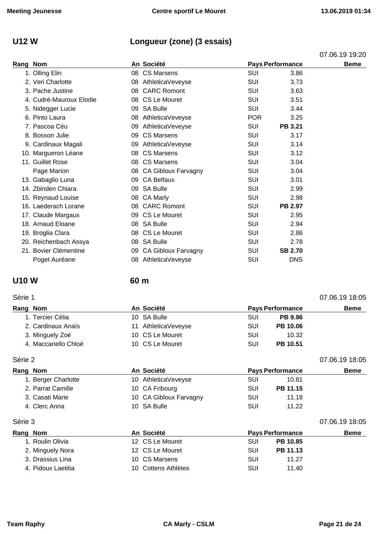# **U12 W Longueur (zone) (3 essais)**

|      |                         |    |                            |            |                         | 07.06.19 19:20 |
|------|-------------------------|----|----------------------------|------------|-------------------------|----------------|
| Rang | <b>Nom</b>              |    | An Société                 |            | <b>Pays Performance</b> | <b>Beme</b>    |
|      | 1. Olling Elin          | 08 | <b>CS Marsens</b>          | <b>SUI</b> | 3.86                    |                |
|      | 2. Veri Charlotte       | 08 | AthleticaVeveyse           | SUI        | 3.73                    |                |
|      | 3. Pache Justine        | 08 | <b>CARC Romont</b>         | <b>SUI</b> | 3.63                    |                |
|      | 4. Cudré-Mauroux Elodie |    | 08 CS Le Mouret            | SUI        | 3.51                    |                |
|      | 5. Nidegger Lucie       | 09 | <b>SA Bulle</b>            | SUI        | 3.44                    |                |
|      | 6. Pinto Laura          | 08 | AthleticaVeveyse           | <b>POR</b> | 3.25                    |                |
|      | 7. Pascoa Céu           | 09 | AthleticaVeveyse           | SUI        | <b>PB 3.21</b>          |                |
|      | 8. Bosson Julie         | 09 | <b>CS Marsens</b>          | SUI        | 3.17                    |                |
|      | 9. Cardinaux Magali     | 09 | AthleticaVeveyse           | <b>SUI</b> | 3.14                    |                |
|      | 10. Margueron Léane     | 08 | <b>CS Marsens</b>          | SUI        | 3.12                    |                |
|      | 11. Guillet Rose        | 08 | <b>CS Marsens</b>          | <b>SUI</b> | 3.04                    |                |
|      | Page Marion             | 08 | <b>CA Gibloux Farvagny</b> | SUI        | 3.04                    |                |
|      | 13. Gabaglio Luna       | 09 | <b>CA Belfaux</b>          | SUI        | 3.01                    |                |
|      | 14. Zbinden Chiara      |    | 09 SA Bulle                | SUI        | 2.99                    |                |
|      | 15. Reynaud Louise      | 08 | <b>CA Marly</b>            | <b>SUI</b> | 2.98                    |                |
|      | 16. Laederach Lorane    | 08 | <b>CARC Romont</b>         | SUI        | <b>PB 2.97</b>          |                |
|      | 17. Claude Margaux      | 09 | CS Le Mouret               | SUI        | 2.95                    |                |
|      | 18. Arnaud Eloane       |    | 08 SA Bulle                | SUI        | 2.94                    |                |
|      | 19. Broglia Clara       | 08 | CS Le Mouret               | <b>SUI</b> | 2.86                    |                |
|      | 20. Reichenbach Assya   | 08 | <b>SA Bulle</b>            | SUI        | 2.78                    |                |
|      | 21. Bovier Clémentine   | 09 | <b>CA Gibloux Farvagny</b> | <b>SUI</b> | <b>SB 2.70</b>          |                |
|      | Poget Auréane           | 08 | AthleticaVeveyse           | SUI        | <b>DNS</b>              |                |
|      |                         |    |                            |            |                         |                |

### **U10 W 60 m**

### Série 1 07.06.19 18:05

| Rang Nom             |  | An Société          |     | <b>Pays Performance</b> | <b>Beme</b> |
|----------------------|--|---------------------|-----|-------------------------|-------------|
| 1. Tercier Célia     |  | 10 SA Bulle         | SUI | <b>PB 9.96</b>          |             |
| 2. Cardinaux Anaïs   |  | 11 AthleticaVeveyse | SUI | PB 10.06                |             |
| 3. Minguely Zoé      |  | 10 CS Le Mouret     | SUI | 10.32                   |             |
| 4. Maccariello Chloé |  | 10 CS Le Mouret     | SUI | <b>PB 10.51</b>         |             |

Série 2 07.06.19 18:05

| Rang Nom            | An Société             | <b>Pays Performance</b> | <b>Beme</b> |
|---------------------|------------------------|-------------------------|-------------|
| 1. Berger Charlotte | 10 AthleticaVeveyse    | SUI<br>10.81            |             |
| 2. Parrat Camille   | 10 CA Fribourg         | PB 11.15<br>SUI         |             |
| 3. Casati Marie     | 10 CA Gibloux Farvagny | 11.18<br>SUI            |             |
| 4. Clerc Anna       | 10 SA Bulle            | SUI<br>11.22            |             |

### Série 3 07.06.19 18:05

| Rang Nom |                    | An Société          |     | <b>Pays Performance</b> | <b>Beme</b> |
|----------|--------------------|---------------------|-----|-------------------------|-------------|
|          | 1. Roulin Olivia   | 12 CS Le Mouret     | SUI | PB 10.85                |             |
|          | 2. Minguely Nora   | 12 CS Le Mouret     | SUI | PB 11.13                |             |
|          | 3. Drassius Lina   | 10 CS Marsens       | SUI | 11.27                   |             |
|          | 4. Pidoux Laetitia | 10 Cottens Athlètes | SUI | 11.40                   |             |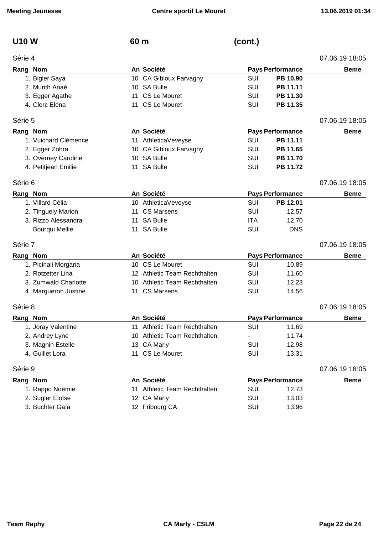**U10 W 60 m (cont.)**

| Série 4  |                       |    |                              |            |                         | 07.06.19 18:05 |
|----------|-----------------------|----|------------------------------|------------|-------------------------|----------------|
| Rang Nom |                       |    | An Société                   |            | <b>Pays Performance</b> | <b>Beme</b>    |
|          | 1. Bigler Saya        |    | 10 CA Gibloux Farvagny       | SUI        | PB 10.90                |                |
|          | 2. Murith Anaé        |    | 10 SA Bulle                  | <b>SUI</b> | PB 11.11                |                |
|          | 3. Egger Agathe       |    | 11 CS Le Mouret              | <b>SUI</b> | PB 11.30                |                |
|          | 4. Clerc Elena        | 11 | CS Le Mouret                 | SUI        | PB 11.35                |                |
| Série 5  |                       |    |                              |            |                         | 07.06.19 18:05 |
| Rang Nom |                       |    | An Société                   |            | <b>Pays Performance</b> | <b>Beme</b>    |
|          | 1. Vuichard Clémence  |    | 11 AthleticaVeveyse          | SUI        | PB 11.11                |                |
|          | 2. Egger Zohra        |    | 10 CA Gibloux Farvagny       | <b>SUI</b> | PB 11.65                |                |
|          | 3. Overney Caroline   |    | 10 SA Bulle                  | <b>SUI</b> | PB 11.70                |                |
|          | 4. Petitjean Emilie   |    | 11 SA Bulle                  | SUI        | PB 11.72                |                |
| Série 6  |                       |    |                              |            |                         | 07.06.19 18:05 |
| Rang Nom |                       |    | An Société                   |            | <b>Pays Performance</b> | <b>Beme</b>    |
|          | 1. Villard Célia      |    | 10 AthleticaVeveyse          | <b>SUI</b> | PB 12.01                |                |
|          | 2. Tinguely Marion    | 11 | <b>CS Marsens</b>            | SUI        | 12.57                   |                |
|          | 3. Rizzo Alessandra   |    | 11 SA Bulle                  | <b>ITA</b> | 12.70                   |                |
|          | <b>Bourqui Mellie</b> |    | 11 SA Bulle                  | <b>SUI</b> | <b>DNS</b>              |                |
| Série 7  |                       |    |                              |            |                         | 07.06.19 18:05 |
| Rang Nom |                       |    | An Société                   |            | <b>Pays Performance</b> | <b>Beme</b>    |
|          | 1. Picinali Morgana   |    | 10 CS Le Mouret              | <b>SUI</b> | 10.89                   |                |
|          | 2. Rotzetter Lina     |    | 12 Athletic Team Rechthalten | SUI        | 11.60                   |                |
|          | 3. Zumwald Charlotte  |    | 10 Athletic Team Rechthalten | SUI        | 12.23                   |                |
|          | 4. Margueron Justine  |    | 11 CS Marsens                | SUI        | 14.56                   |                |
| Série 8  |                       |    |                              |            |                         | 07.06.19 18:05 |
| Rang Nom |                       |    | An Société                   |            | <b>Pays Performance</b> | <b>Beme</b>    |
|          | 1. Joray Valentine    |    | 11 Athletic Team Rechthalten | <b>SUI</b> | 11.69                   |                |
|          | 2. Andrey Lyne        |    | 10 Athletic Team Rechthalten |            | 11.74                   |                |
|          | 3. Magnin Estelle     |    | 13 CA Marly                  | SUI        | 12.98                   |                |
|          | 4. Guillet Lora       |    | 11 CS Le Mouret              | <b>SUI</b> | 13.31                   |                |
| Série 9  |                       |    |                              |            |                         | 07.06.19 18:05 |
| Rang Nom |                       |    | An Société                   |            | <b>Pays Performance</b> | <b>Beme</b>    |
|          | 1. Rappo Noémie       |    | 11 Athletic Team Rechthalten | <b>SUI</b> | 12.73                   |                |
|          | 2. Sugler Eloïse      |    | 12 CA Marly                  | SUI        | 13.03                   |                |

3. Buchter Gaïa **12 Fribourg CA** SUI 13.96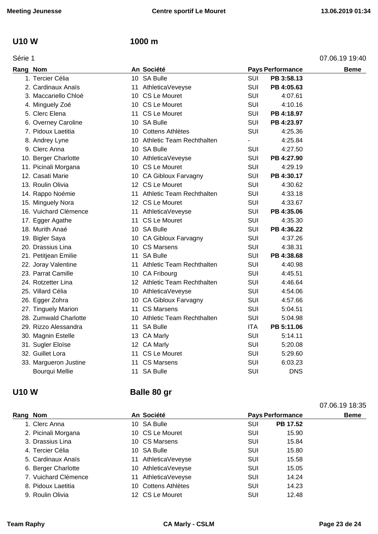### **U10 W 1000 m**

| Rang Nom |                       |    | An Société                   |                          | <b>Pays Performance</b> | <b>Beme</b> |
|----------|-----------------------|----|------------------------------|--------------------------|-------------------------|-------------|
|          | 1. Tercier Célia      |    | 10 SA Bulle                  | <b>SUI</b>               | PB 3:58.13              |             |
|          | 2. Cardinaux Anaïs    |    | 11 AthleticaVeveyse          | <b>SUI</b>               | PB 4:05.63              |             |
|          | 3. Maccariello Chloé  |    | 10 CS Le Mouret              | SUI                      | 4:07.61                 |             |
|          | 4. Minguely Zoé       |    | 10 CS Le Mouret              | <b>SUI</b>               | 4:10.16                 |             |
|          | 5. Clerc Elena        |    | 11 CS Le Mouret              | <b>SUI</b>               | PB 4:18.97              |             |
|          | 6. Overney Caroline   |    | 10 SA Bulle                  | <b>SUI</b>               | PB 4:23.97              |             |
|          | 7. Pidoux Laetitia    |    | 10 Cottens Athlètes          | <b>SUI</b>               | 4:25.36                 |             |
|          | 8. Andrey Lyne        |    | 10 Athletic Team Rechthalten | $\overline{\phantom{0}}$ | 4:25.84                 |             |
|          | 9. Clerc Anna         |    | 10 SA Bulle                  | <b>SUI</b>               | 4:27.50                 |             |
|          | 10. Berger Charlotte  |    | 10 AthleticaVeveyse          | <b>SUI</b>               | PB 4:27.90              |             |
|          | 11. Picinali Morgana  |    | 10 CS Le Mouret              | SUI                      | 4:29.19                 |             |
|          | 12. Casati Marie      |    | 10 CA Gibloux Farvagny       | <b>SUI</b>               | PB 4:30.17              |             |
|          | 13. Roulin Olivia     |    | 12 CS Le Mouret              | <b>SUI</b>               | 4:30.62                 |             |
|          | 14. Rappo Noémie      |    | 11 Athletic Team Rechthalten | <b>SUI</b>               | 4:33.18                 |             |
|          | 15. Minguely Nora     |    | 12 CS Le Mouret              | SUI                      | 4:33.67                 |             |
|          | 16. Vuichard Clémence |    | 11 AthleticaVeveyse          | <b>SUI</b>               | PB 4:35.06              |             |
|          | 17. Egger Agathe      |    | 11 CS Le Mouret              | <b>SUI</b>               | 4:35.30                 |             |
|          | 18. Murith Anaé       |    | 10 SA Bulle                  | <b>SUI</b>               | PB 4:36.22              |             |
|          | 19. Bigler Saya       |    | 10 CA Gibloux Farvagny       | SUI                      | 4:37.26                 |             |
|          | 20. Drassius Lina     |    | 10 CS Marsens                | <b>SUI</b>               | 4:38.31                 |             |
|          | 21. Petitjean Emilie  | 11 | <b>SA Bulle</b>              | <b>SUI</b>               | PB 4:38.68              |             |
|          | 22. Joray Valentine   |    | 11 Athletic Team Rechthalten | <b>SUI</b>               | 4:40.98                 |             |
|          | 23. Parrat Camille    |    | 10 CA Fribourg               | <b>SUI</b>               | 4:45.51                 |             |
|          | 24. Rotzetter Lina    |    | 12 Athletic Team Rechthalten | <b>SUI</b>               | 4:46.64                 |             |
|          | 25. Villard Célia     |    | 10 AthleticaVeveyse          | <b>SUI</b>               | 4:54.06                 |             |
|          | 26. Egger Zohra       |    | 10 CA Gibloux Farvagny       | <b>SUI</b>               | 4:57.66                 |             |
|          | 27. Tinguely Marion   | 11 | CS Marsens                   | <b>SUI</b>               | 5:04.51                 |             |
|          | 28. Zumwald Charlotte |    | 10 Athletic Team Rechthalten | SUI                      | 5:04.98                 |             |
|          | 29. Rizzo Alessandra  |    | 11 SA Bulle                  | <b>ITA</b>               | PB 5:11.06              |             |
|          | 30. Magnin Estelle    |    | 13 CA Marly                  | SUI                      | 5:14.11                 |             |
|          | 31. Sugler Eloïse     |    | 12 CA Marly                  | SUI                      | 5:20.08                 |             |
|          | 32. Guillet Lora      |    | 11 CS Le Mouret              | SUI                      | 5:29.60                 |             |
|          | 33. Margueron Justine | 11 | <b>CS Marsens</b>            | SUI                      | 6:03.23                 |             |
|          | Bourqui Mellie        | 11 | <b>SA Bulle</b>              | <b>SUI</b>               | <b>DNS</b>              |             |
|          |                       |    |                              |                          |                         |             |

# **U10 W Balle 80 gr**

| Rang Nom             | An Société          | <b>Pays Performance</b> | <b>Beme</b> |
|----------------------|---------------------|-------------------------|-------------|
| 1. Clerc Anna        | 10 SA Bulle         | PB 17.52<br>SUI         |             |
| 2. Picinali Morgana  | 10 CS Le Mouret     | SUI<br>15.90            |             |
| 3. Drassius Lina     | 10 CS Marsens       | SUI<br>15.84            |             |
| 4. Tercier Célia     | 10 SA Bulle         | SUI<br>15.80            |             |
| 5. Cardinaux Anaïs   | 11 AthleticaVeveyse | SUI<br>15.58            |             |
| 6. Berger Charlotte  | 10 AthleticaVeveyse | SUI<br>15.05            |             |
| 7. Vuichard Clémence | 11 AthleticaVeveyse | SUI<br>14.24            |             |
| 8. Pidoux Laetitia   | 10 Cottens Athlètes | <b>SUI</b><br>14.23     |             |
| 9. Roulin Olivia     | 12 CS Le Mouret     | SUI<br>12.48            |             |

07.06.19 18:35